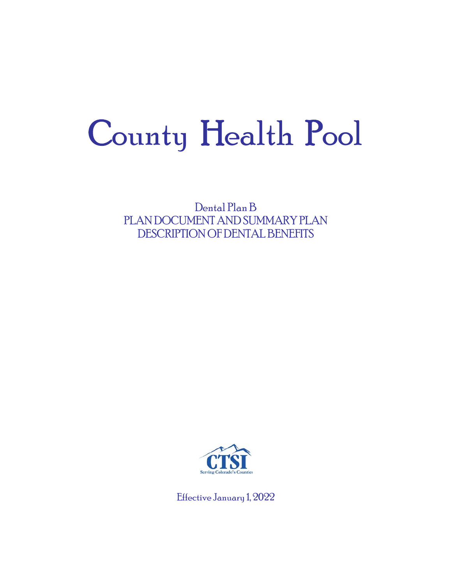# County Health Pool

Dental Plan B PLAN DOCUMENT AND SUMMARY PLAN DESCRIPTION OF DENTAL BENEFITS



Effective January 1, 2022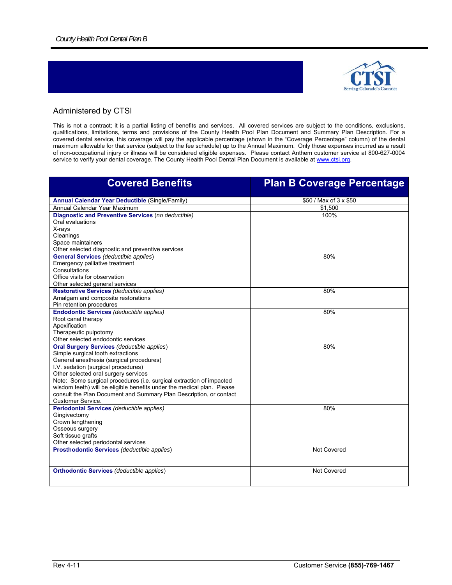

#### Administered by CTSI

This is not a contract; it is a partial listing of benefits and services. All covered services are subject to the conditions, exclusions, qualifications, limitations, terms and provisions of the County Health Pool Plan Document and Summary Plan Description. For a covered dental service, this coverage will pay the applicable percentage (shown in the "Coverage Percentage" column) of the dental maximum allowable for that service (subject to the fee schedule) up to the Annual Maximum. Only those expenses incurred as a result of non-occupational injury or illness will be considered eligible expenses. Please contact Anthem customer service at 800-627-0004 service to verify your dental coverage. The County Health Pool Dental Plan Document is available at www.ctsi.org.

| <b>Covered Benefits</b>                                                | <b>Plan B Coverage Percentage</b> |
|------------------------------------------------------------------------|-----------------------------------|
| <b>Annual Calendar Year Deductible (Single/Family)</b>                 | \$50 / Max of 3 x \$50            |
| Annual Calendar Year Maximum                                           | \$1,500                           |
| Diagnostic and Preventive Services (no deductible)                     | 100%                              |
| Oral evaluations                                                       |                                   |
| X-rays                                                                 |                                   |
| Cleanings                                                              |                                   |
| Space maintainers                                                      |                                   |
| Other selected diagnostic and preventive services                      |                                   |
| <b>General Services (deductible applies)</b>                           | 80%                               |
| Emergency palliative treatment                                         |                                   |
| Consultations                                                          |                                   |
| Office visits for observation                                          |                                   |
| Other selected general services                                        |                                   |
| Restorative Services (deductible applies)                              | 80%                               |
| Amalgam and composite restorations                                     |                                   |
| Pin retention procedures                                               |                                   |
| <b>Endodontic Services (deductible applies)</b>                        | 80%                               |
| Root canal therapy                                                     |                                   |
| Apexification                                                          |                                   |
| Therapeutic pulpotomy                                                  |                                   |
| Other selected endodontic services                                     |                                   |
| <b>Oral Surgery Services (deductible applies)</b>                      | 80%                               |
| Simple surgical tooth extractions                                      |                                   |
| General anesthesia (surgical procedures)                               |                                   |
| I.V. sedation (surgical procedures)                                    |                                   |
| Other selected oral surgery services                                   |                                   |
| Note: Some surgical procedures (i.e. surgical extraction of impacted   |                                   |
| wisdom teeth) will be eligible benefits under the medical plan. Please |                                   |
| consult the Plan Document and Summary Plan Description, or contact     |                                   |
| <b>Customer Service.</b>                                               |                                   |
| Periodontal Services (deductible applies)                              | 80%                               |
| Gingivectomy                                                           |                                   |
| Crown lengthening                                                      |                                   |
| Osseous surgery                                                        |                                   |
| Soft tissue grafts                                                     |                                   |
| Other selected periodontal services                                    |                                   |
| <b>Prosthodontic Services (deductible applies)</b>                     | <b>Not Covered</b>                |
|                                                                        |                                   |
| <b>Orthodontic Services (deductible applies)</b>                       | <b>Not Covered</b>                |
|                                                                        |                                   |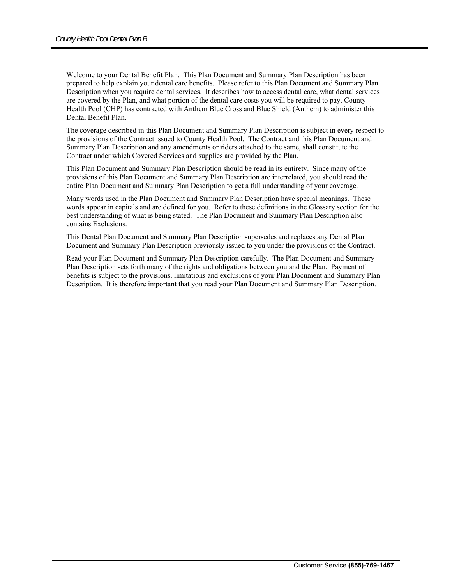Welcome to your Dental Benefit Plan. This Plan Document and Summary Plan Description has been prepared to help explain your dental care benefits. Please refer to this Plan Document and Summary Plan Description when you require dental services. It describes how to access dental care, what dental services are covered by the Plan, and what portion of the dental care costs you will be required to pay. County Health Pool (CHP) has contracted with Anthem Blue Cross and Blue Shield (Anthem) to administer this Dental Benefit Plan.

The coverage described in this Plan Document and Summary Plan Description is subject in every respect to the provisions of the Contract issued to County Health Pool. The Contract and this Plan Document and Summary Plan Description and any amendments or riders attached to the same, shall constitute the Contract under which Covered Services and supplies are provided by the Plan.

This Plan Document and Summary Plan Description should be read in its entirety. Since many of the provisions of this Plan Document and Summary Plan Description are interrelated, you should read the entire Plan Document and Summary Plan Description to get a full understanding of your coverage.

Many words used in the Plan Document and Summary Plan Description have special meanings. These words appear in capitals and are defined for you. Refer to these definitions in the Glossary section for the best understanding of what is being stated. The Plan Document and Summary Plan Description also contains Exclusions.

This Dental Plan Document and Summary Plan Description supersedes and replaces any Dental Plan Document and Summary Plan Description previously issued to you under the provisions of the Contract.

Read your Plan Document and Summary Plan Description carefully. The Plan Document and Summary Plan Description sets forth many of the rights and obligations between you and the Plan. Payment of benefits is subject to the provisions, limitations and exclusions of your Plan Document and Summary Plan Description. It is therefore important that you read your Plan Document and Summary Plan Description.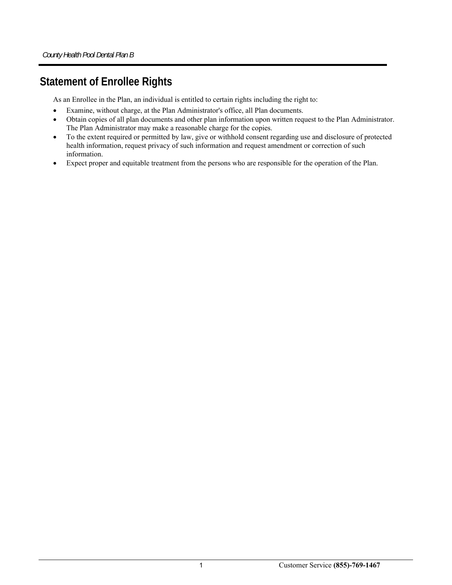# **Statement of Enrollee Rights**

As an Enrollee in the Plan, an individual is entitled to certain rights including the right to:

- Examine, without charge, at the Plan Administrator's office, all Plan documents.
- Obtain copies of all plan documents and other plan information upon written request to the Plan Administrator. The Plan Administrator may make a reasonable charge for the copies.
- To the extent required or permitted by law, give or withhold consent regarding use and disclosure of protected health information, request privacy of such information and request amendment or correction of such information.
- Expect proper and equitable treatment from the persons who are responsible for the operation of the Plan.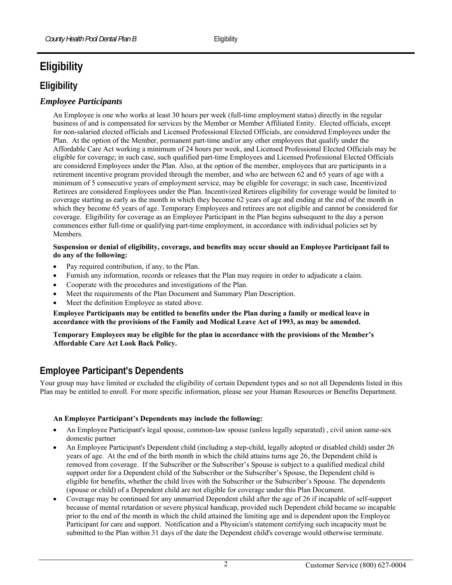# **Eligibility**

# **Eligibility**

#### *Employee Participants*

An Employee is one who works at least 30 hours per week (full-time employment status) directly in the regular business of and is compensated for services by the Member or Member Affiliated Entity. Elected officials, except for non-salaried elected officials and Licensed Professional Elected Officials, are considered Employees under the Plan. At the option of the Member, permanent part-time and/or any other employees that qualify under the Affordable Care Act working a minimum of 24 hours per week, and Licensed Professional Elected Officials may be eligible for coverage; in such case, such qualified part-time Employees and Licensed Professional Elected Officials are considered Employees under the Plan. Also, at the option of the member, employees that are participants in a retirement incentive program provided through the member, and who are between 62 and 65 years of age with a minimum of 5 consecutive years of employment service, may be eligible for coverage; in such case, Incentivized Retirees are considered Employees under the Plan. Incentivized Retirees eligibility for coverage would be limited to coverage starting as early as the month in which they become 62 years of age and ending at the end of the month in which they become 65 years of age. Temporary Employees and retirees are not eligible and cannot be considered for coverage. Eligibility for coverage as an Employee Participant in the Plan begins subsequent to the day a person commences either full-time or qualifying part-time employment, in accordance with individual policies set by Members.

#### **Suspension or denial of eligibility, coverage, and benefits may occur should an Employee Participant fail to do any of the following:**

- Pay required contribution, if any, to the Plan.
- Furnish any information, records or releases that the Plan may require in order to adjudicate a claim.
- Cooperate with the procedures and investigations of the Plan.
- Meet the requirements of the Plan Document and Summary Plan Description.
- Meet the definition Employee as stated above.

**Employee Participants may be entitled to benefits under the Plan during a family or medical leave in accordance with the provisions of the Family and Medical Leave Act of 1993, as may be amended.** 

**Temporary Employees may be eligible for the plan in accordance with the provisions of the Member's Affordable Care Act Look Back Policy.** 

# **Employee Participant's Dependents**

Your group may have limited or excluded the eligibility of certain Dependent types and so not all Dependents listed in this Plan may be entitled to enroll. For more specific information, please see your Human Resources or Benefits Department.

#### **An Employee Participant's Dependents may include the following:**

- An Employee Participant's legal spouse, common-law spouse (unless legally separated) , civil union same-sex domestic partner
- An Employee Participant's Dependent child (including a step-child, legally adopted or disabled child) under 26 years of age. At the end of the birth month in which the child attains turns age 26, the Dependent child is removed from coverage. If the Subscriber or the Subscriber's Spouse is subject to a qualified medical child support order for a Dependent child of the Subscriber or the Subscriber's Spouse, the Dependent child is eligible for benefits, whether the child lives with the Subscriber or the Subscriber's Spouse. The dependents (spouse or child) of a Dependent child are not eligible for coverage under this Plan Document.
- Coverage may be continued for any unmarried Dependent child after the age of 26 if incapable of self-support because of mental retardation or severe physical handicap, provided such Dependent child became so incapable prior to the end of the month in which the child attained the limiting age and is dependent upon the Employee Participant for care and support. Notification and a Physician's statement certifying such incapacity must be submitted to the Plan within 31 days of the date the Dependent child's coverage would otherwise terminate.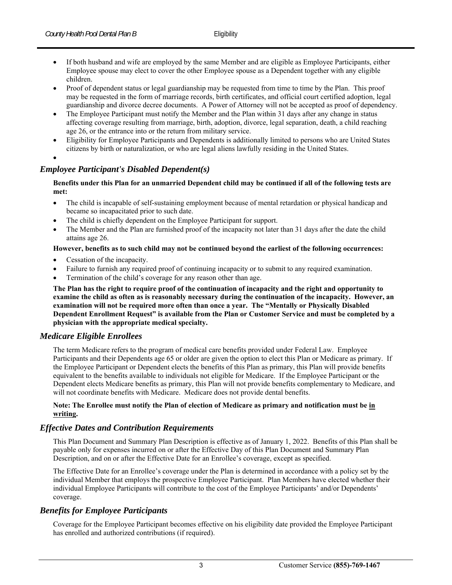- If both husband and wife are employed by the same Member and are eligible as Employee Participants, either Employee spouse may elect to cover the other Employee spouse as a Dependent together with any eligible children.
- Proof of dependent status or legal guardianship may be requested from time to time by the Plan. This proof may be requested in the form of marriage records, birth certificates, and official court certified adoption, legal guardianship and divorce decree documents. A Power of Attorney will not be accepted as proof of dependency.
- The Employee Participant must notify the Member and the Plan within 31 days after any change in status affecting coverage resulting from marriage, birth, adoption, divorce, legal separation, death, a child reaching age 26, or the entrance into or the return from military service.
- Eligibility for Employee Participants and Dependents is additionally limited to persons who are United States citizens by birth or naturalization, or who are legal aliens lawfully residing in the United States.
- $\bullet$

#### *Employee Participant's Disabled Dependent(s)*

**Benefits under this Plan for an unmarried Dependent child may be continued if all of the following tests are met:** 

- The child is incapable of self-sustaining employment because of mental retardation or physical handicap and became so incapacitated prior to such date.
- The child is chiefly dependent on the Employee Participant for support.
- The Member and the Plan are furnished proof of the incapacity not later than 31 days after the date the child attains age 26.

#### **However, benefits as to such child may not be continued beyond the earliest of the following occurrences:**

- Cessation of the incapacity.
- Failure to furnish any required proof of continuing incapacity or to submit to any required examination.
- Termination of the child's coverage for any reason other than age.

**The Plan has the right to require proof of the continuation of incapacity and the right and opportunity to examine the child as often as is reasonably necessary during the continuation of the incapacity. However, an examination will not be required more often than once a year. The "Mentally or Physically Disabled Dependent Enrollment Request" is available from the Plan or Customer Service and must be completed by a physician with the appropriate medical specialty.** 

#### *Medicare Eligible Enrollees*

The term Medicare refers to the program of medical care benefits provided under Federal Law. Employee Participants and their Dependents age 65 or older are given the option to elect this Plan or Medicare as primary. If the Employee Participant or Dependent elects the benefits of this Plan as primary, this Plan will provide benefits equivalent to the benefits available to individuals not eligible for Medicare. If the Employee Participant or the Dependent elects Medicare benefits as primary, this Plan will not provide benefits complementary to Medicare, and will not coordinate benefits with Medicare. Medicare does not provide dental benefits.

#### **Note: The Enrollee must notify the Plan of election of Medicare as primary and notification must be in writing.**

#### *Effective Dates and Contribution Requirements*

This Plan Document and Summary Plan Description is effective as of January 1, 2022. Benefits of this Plan shall be payable only for expenses incurred on or after the Effective Day of this Plan Document and Summary Plan Description, and on or after the Effective Date for an Enrollee's coverage, except as specified.

The Effective Date for an Enrollee's coverage under the Plan is determined in accordance with a policy set by the individual Member that employs the prospective Employee Participant. Plan Members have elected whether their individual Employee Participants will contribute to the cost of the Employee Participants' and/or Dependents' coverage.

#### *Benefits for Employee Participants*

Coverage for the Employee Participant becomes effective on his eligibility date provided the Employee Participant has enrolled and authorized contributions (if required).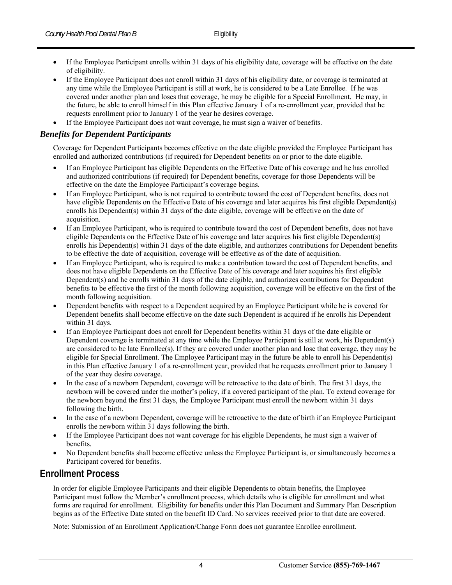- If the Employee Participant enrolls within 31 days of his eligibility date, coverage will be effective on the date of eligibility.
- If the Employee Participant does not enroll within 31 days of his eligibility date, or coverage is terminated at any time while the Employee Participant is still at work, he is considered to be a Late Enrollee. If he was covered under another plan and loses that coverage, he may be eligible for a Special Enrollment. He may, in the future, be able to enroll himself in this Plan effective January 1 of a re-enrollment year, provided that he requests enrollment prior to January 1 of the year he desires coverage.
- If the Employee Participant does not want coverage, he must sign a waiver of benefits.

#### *Benefits for Dependent Participants*

Coverage for Dependent Participants becomes effective on the date eligible provided the Employee Participant has enrolled and authorized contributions (if required) for Dependent benefits on or prior to the date eligible.

- If an Employee Participant has eligible Dependents on the Effective Date of his coverage and he has enrolled and authorized contributions (if required) for Dependent benefits, coverage for those Dependents will be effective on the date the Employee Participant's coverage begins.
- If an Employee Participant, who is not required to contribute toward the cost of Dependent benefits, does not have eligible Dependents on the Effective Date of his coverage and later acquires his first eligible Dependent(s) enrolls his Dependent(s) within 31 days of the date eligible, coverage will be effective on the date of acquisition.
- If an Employee Participant, who is required to contribute toward the cost of Dependent benefits, does not have eligible Dependents on the Effective Date of his coverage and later acquires his first eligible Dependent(s) enrolls his Dependent(s) within 31 days of the date eligible, and authorizes contributions for Dependent benefits to be effective the date of acquisition, coverage will be effective as of the date of acquisition.
- If an Employee Participant, who is required to make a contribution toward the cost of Dependent benefits, and does not have eligible Dependents on the Effective Date of his coverage and later acquires his first eligible Dependent(s) and he enrolls within 31 days of the date eligible, and authorizes contributions for Dependent benefits to be effective the first of the month following acquisition, coverage will be effective on the first of the month following acquisition.
- Dependent benefits with respect to a Dependent acquired by an Employee Participant while he is covered for Dependent benefits shall become effective on the date such Dependent is acquired if he enrolls his Dependent within 31 days.
- If an Employee Participant does not enroll for Dependent benefits within 31 days of the date eligible or Dependent coverage is terminated at any time while the Employee Participant is still at work, his Dependent(s) are considered to be late Enrollee(s). If they are covered under another plan and lose that coverage, they may be eligible for Special Enrollment. The Employee Participant may in the future be able to enroll his Dependent(s) in this Plan effective January 1 of a re-enrollment year, provided that he requests enrollment prior to January 1 of the year they desire coverage.
- In the case of a newborn Dependent, coverage will be retroactive to the date of birth. The first 31 days, the newborn will be covered under the mother's policy, if a covered participant of the plan. To extend coverage for the newborn beyond the first 31 days, the Employee Participant must enroll the newborn within 31 days following the birth.
- In the case of a newborn Dependent, coverage will be retroactive to the date of birth if an Employee Participant enrolls the newborn within 31 days following the birth.
- If the Employee Participant does not want coverage for his eligible Dependents, he must sign a waiver of benefits.
- No Dependent benefits shall become effective unless the Employee Participant is, or simultaneously becomes a Participant covered for benefits.

# **Enrollment Process**

In order for eligible Employee Participants and their eligible Dependents to obtain benefits, the Employee Participant must follow the Member's enrollment process, which details who is eligible for enrollment and what forms are required for enrollment. Eligibility for benefits under this Plan Document and Summary Plan Description begins as of the Effective Date stated on the benefit ID Card. No services received prior to that date are covered.

Note: Submission of an Enrollment Application/Change Form does not guarantee Enrollee enrollment.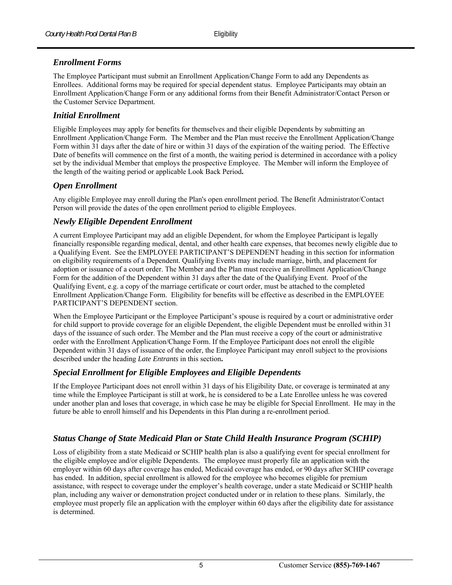#### *Enrollment Forms*

The Employee Participant must submit an Enrollment Application/Change Form to add any Dependents as Enrollees. Additional forms may be required for special dependent status. Employee Participants may obtain an Enrollment Application/Change Form or any additional forms from their Benefit Administrator/Contact Person or the Customer Service Department.

#### *Initial Enrollment*

Eligible Employees may apply for benefits for themselves and their eligible Dependents by submitting an Enrollment Application/Change Form. The Member and the Plan must receive the Enrollment Application/Change Form within 31 days after the date of hire or within 31 days of the expiration of the waiting period. The Effective Date of benefits will commence on the first of a month, the waiting period is determined in accordance with a policy set by the individual Member that employs the prospective Employee. The Member will inform the Employee of the length of the waiting period or applicable Look Back Period**.**

#### *Open Enrollment*

Any eligible Employee may enroll during the Plan's open enrollment period. The Benefit Administrator/Contact Person will provide the dates of the open enrollment period to eligible Employees.

#### *Newly Eligible Dependent Enrollment*

A current Employee Participant may add an eligible Dependent, for whom the Employee Participant is legally financially responsible regarding medical, dental, and other health care expenses, that becomes newly eligible due to a Qualifying Event. See the EMPLOYEE PARTICIPANT'S DEPENDENT heading in this section for information on eligibility requirements of a Dependent. Qualifying Events may include marriage, birth, and placement for adoption or issuance of a court order. The Member and the Plan must receive an Enrollment Application/Change Form for the addition of the Dependent within 31 days after the date of the Qualifying Event. Proof of the Qualifying Event, e.g. a copy of the marriage certificate or court order, must be attached to the completed Enrollment Application/Change Form. Eligibility for benefits will be effective as described in the EMPLOYEE PARTICIPANT'S DEPENDENT section.

When the Employee Participant or the Employee Participant's spouse is required by a court or administrative order for child support to provide coverage for an eligible Dependent, the eligible Dependent must be enrolled within 31 days of the issuance of such order. The Member and the Plan must receive a copy of the court or administrative order with the Enrollment Application/Change Form. If the Employee Participant does not enroll the eligible Dependent within 31 days of issuance of the order, the Employee Participant may enroll subject to the provisions described under the heading *Late Entrants* in this section**.** 

#### *Special Enrollment for Eligible Employees and Eligible Dependents*

If the Employee Participant does not enroll within 31 days of his Eligibility Date, or coverage is terminated at any time while the Employee Participant is still at work, he is considered to be a Late Enrollee unless he was covered under another plan and loses that coverage, in which case he may be eligible for Special Enrollment. He may in the future be able to enroll himself and his Dependents in this Plan during a re-enrollment period.

#### *Status Change of State Medicaid Plan or State Child Health Insurance Program (SCHIP)*

Loss of eligibility from a state Medicaid or SCHIP health plan is also a qualifying event for special enrollment for the eligible employee and/or eligible Dependents. The employee must properly file an application with the employer within 60 days after coverage has ended, Medicaid coverage has ended, or 90 days after SCHIP coverage has ended. In addition, special enrollment is allowed for the employee who becomes eligible for premium assistance, with respect to coverage under the employer's health coverage, under a state Medicaid or SCHIP health plan, including any waiver or demonstration project conducted under or in relation to these plans. Similarly, the employee must properly file an application with the employer within 60 days after the eligibility date for assistance is determined.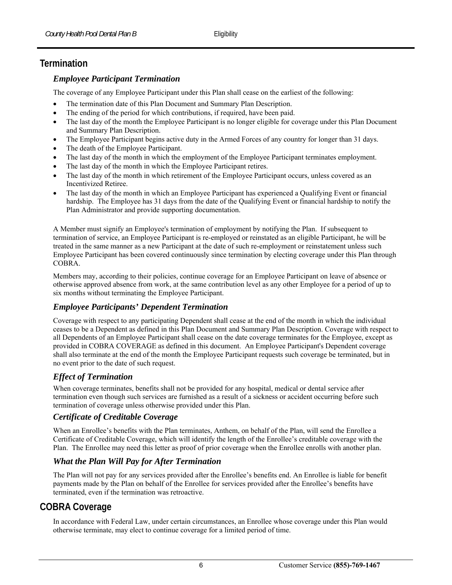# **Termination**

#### *Employee Participant Termination*

The coverage of any Employee Participant under this Plan shall cease on the earliest of the following:

- The termination date of this Plan Document and Summary Plan Description.
- The ending of the period for which contributions, if required, have been paid.
- The last day of the month the Employee Participant is no longer eligible for coverage under this Plan Document and Summary Plan Description.
- The Employee Participant begins active duty in the Armed Forces of any country for longer than 31 days.
- The death of the Employee Participant.
- The last day of the month in which the employment of the Employee Participant terminates employment.
- The last day of the month in which the Employee Participant retires.
- The last day of the month in which retirement of the Employee Participant occurs, unless covered as an Incentivized Retiree.
- The last day of the month in which an Employee Participant has experienced a Qualifying Event or financial hardship. The Employee has 31 days from the date of the Qualifying Event or financial hardship to notify the Plan Administrator and provide supporting documentation.

A Member must signify an Employee's termination of employment by notifying the Plan. If subsequent to termination of service, an Employee Participant is re-employed or reinstated as an eligible Participant, he will be treated in the same manner as a new Participant at the date of such re-employment or reinstatement unless such Employee Participant has been covered continuously since termination by electing coverage under this Plan through COBRA.

Members may, according to their policies, continue coverage for an Employee Participant on leave of absence or otherwise approved absence from work, at the same contribution level as any other Employee for a period of up to six months without terminating the Employee Participant.

#### *Employee Participants' Dependent Termination*

Coverage with respect to any participating Dependent shall cease at the end of the month in which the individual ceases to be a Dependent as defined in this Plan Document and Summary Plan Description. Coverage with respect to all Dependents of an Employee Participant shall cease on the date coverage terminates for the Employee, except as provided in COBRA COVERAGE as defined in this document. An Employee Participant's Dependent coverage shall also terminate at the end of the month the Employee Participant requests such coverage be terminated, but in no event prior to the date of such request.

## *Effect of Termination*

When coverage terminates, benefits shall not be provided for any hospital, medical or dental service after termination even though such services are furnished as a result of a sickness or accident occurring before such termination of coverage unless otherwise provided under this Plan.

#### *Certificate of Creditable Coverage*

When an Enrollee's benefits with the Plan terminates, Anthem, on behalf of the Plan, will send the Enrollee a Certificate of Creditable Coverage, which will identify the length of the Enrollee's creditable coverage with the Plan. The Enrollee may need this letter as proof of prior coverage when the Enrollee enrolls with another plan.

#### *What the Plan Will Pay for After Termination*

The Plan will not pay for any services provided after the Enrollee's benefits end. An Enrollee is liable for benefit payments made by the Plan on behalf of the Enrollee for services provided after the Enrollee's benefits have terminated, even if the termination was retroactive.

# **COBRA Coverage**

In accordance with Federal Law, under certain circumstances, an Enrollee whose coverage under this Plan would otherwise terminate, may elect to continue coverage for a limited period of time.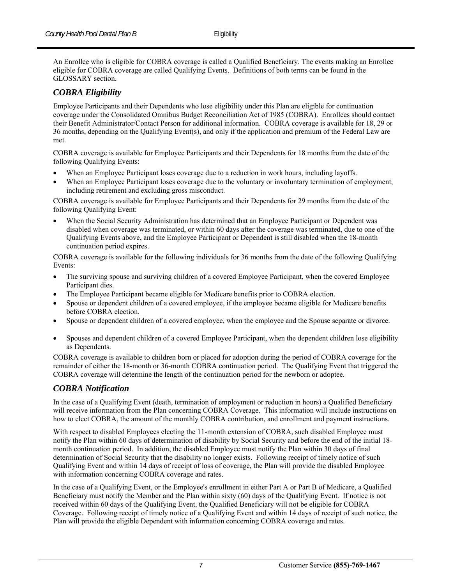An Enrollee who is eligible for COBRA coverage is called a Qualified Beneficiary. The events making an Enrollee eligible for COBRA coverage are called Qualifying Events. Definitions of both terms can be found in the GLOSSARY section.

#### *COBRA Eligibility*

Employee Participants and their Dependents who lose eligibility under this Plan are eligible for continuation coverage under the Consolidated Omnibus Budget Reconciliation Act of 1985 (COBRA). Enrollees should contact their Benefit Administrator/Contact Person for additional information. COBRA coverage is available for 18, 29 or 36 months, depending on the Qualifying Event(s), and only if the application and premium of the Federal Law are met.

COBRA coverage is available for Employee Participants and their Dependents for 18 months from the date of the following Qualifying Events:

- When an Employee Participant loses coverage due to a reduction in work hours, including layoffs.
- When an Employee Participant loses coverage due to the voluntary or involuntary termination of employment, including retirement and excluding gross misconduct.

COBRA coverage is available for Employee Participants and their Dependents for 29 months from the date of the following Qualifying Event:

 When the Social Security Administration has determined that an Employee Participant or Dependent was disabled when coverage was terminated, or within 60 days after the coverage was terminated, due to one of the Qualifying Events above, and the Employee Participant or Dependent is still disabled when the 18-month continuation period expires.

COBRA coverage is available for the following individuals for 36 months from the date of the following Qualifying Events:

- The surviving spouse and surviving children of a covered Employee Participant, when the covered Employee Participant dies.
- The Employee Participant became eligible for Medicare benefits prior to COBRA election.
- Spouse or dependent children of a covered employee, if the employee became eligible for Medicare benefits before COBRA election.
- Spouse or dependent children of a covered employee, when the employee and the Spouse separate or divorce.
- Spouses and dependent children of a covered Employee Participant, when the dependent children lose eligibility as Dependents.

COBRA coverage is available to children born or placed for adoption during the period of COBRA coverage for the remainder of either the 18-month or 36-month COBRA continuation period. The Qualifying Event that triggered the COBRA coverage will determine the length of the continuation period for the newborn or adoptee.

#### *COBRA Notification*

In the case of a Qualifying Event (death, termination of employment or reduction in hours) a Qualified Beneficiary will receive information from the Plan concerning COBRA Coverage. This information will include instructions on how to elect COBRA, the amount of the monthly COBRA contribution, and enrollment and payment instructions.

With respect to disabled Employees electing the 11-month extension of COBRA, such disabled Employee must notify the Plan within 60 days of determination of disability by Social Security and before the end of the initial 18 month continuation period. In addition, the disabled Employee must notify the Plan within 30 days of final determination of Social Security that the disability no longer exists. Following receipt of timely notice of such Qualifying Event and within 14 days of receipt of loss of coverage, the Plan will provide the disabled Employee with information concerning COBRA coverage and rates.

In the case of a Qualifying Event, or the Employee's enrollment in either Part A or Part B of Medicare, a Qualified Beneficiary must notify the Member and the Plan within sixty (60) days of the Qualifying Event. If notice is not received within 60 days of the Qualifying Event, the Qualified Beneficiary will not be eligible for COBRA Coverage. Following receipt of timely notice of a Qualifying Event and within 14 days of receipt of such notice, the Plan will provide the eligible Dependent with information concerning COBRA coverage and rates.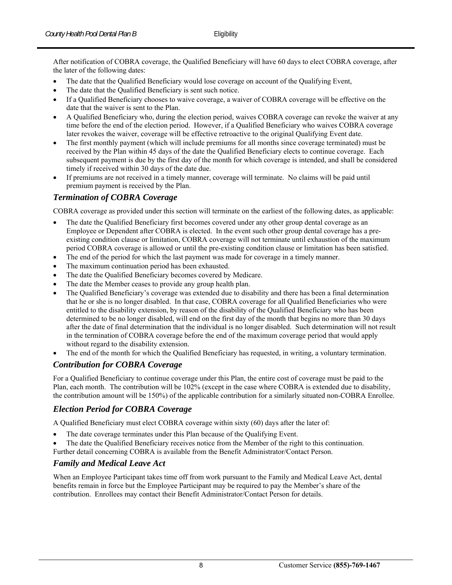After notification of COBRA coverage, the Qualified Beneficiary will have 60 days to elect COBRA coverage, after the later of the following dates:

- The date that the Qualified Beneficiary would lose coverage on account of the Qualifying Event,
- The date that the Qualified Beneficiary is sent such notice.
- If a Qualified Beneficiary chooses to waive coverage, a waiver of COBRA coverage will be effective on the date that the waiver is sent to the Plan.
- A Qualified Beneficiary who, during the election period, waives COBRA coverage can revoke the waiver at any time before the end of the election period. However, if a Qualified Beneficiary who waives COBRA coverage later revokes the waiver, coverage will be effective retroactive to the original Qualifying Event date.
- The first monthly payment (which will include premiums for all months since coverage terminated) must be received by the Plan within 45 days of the date the Qualified Beneficiary elects to continue coverage. Each subsequent payment is due by the first day of the month for which coverage is intended, and shall be considered timely if received within 30 days of the date due.
- If premiums are not received in a timely manner, coverage will terminate. No claims will be paid until premium payment is received by the Plan.

#### *Termination of COBRA Coverage*

COBRA coverage as provided under this section will terminate on the earliest of the following dates, as applicable:

- The date the Qualified Beneficiary first becomes covered under any other group dental coverage as an Employee or Dependent after COBRA is elected. In the event such other group dental coverage has a preexisting condition clause or limitation, COBRA coverage will not terminate until exhaustion of the maximum period COBRA coverage is allowed or until the pre-existing condition clause or limitation has been satisfied.
- The end of the period for which the last payment was made for coverage in a timely manner.
- The maximum continuation period has been exhausted.
- The date the Qualified Beneficiary becomes covered by Medicare.
- The date the Member ceases to provide any group health plan.
- The Qualified Beneficiary's coverage was extended due to disability and there has been a final determination that he or she is no longer disabled. In that case, COBRA coverage for all Qualified Beneficiaries who were entitled to the disability extension, by reason of the disability of the Qualified Beneficiary who has been determined to be no longer disabled, will end on the first day of the month that begins no more than 30 days after the date of final determination that the individual is no longer disabled. Such determination will not result in the termination of COBRA coverage before the end of the maximum coverage period that would apply without regard to the disability extension.
- The end of the month for which the Qualified Beneficiary has requested, in writing, a voluntary termination.

#### *Contribution for COBRA Coverage*

For a Qualified Beneficiary to continue coverage under this Plan, the entire cost of coverage must be paid to the Plan, each month. The contribution will be 102% (except in the case where COBRA is extended due to disability, the contribution amount will be 150%) of the applicable contribution for a similarly situated non-COBRA Enrollee.

#### *Election Period for COBRA Coverage*

A Qualified Beneficiary must elect COBRA coverage within sixty (60) days after the later of:

- The date coverage terminates under this Plan because of the Qualifying Event.
- The date the Qualified Beneficiary receives notice from the Member of the right to this continuation.
- Further detail concerning COBRA is available from the Benefit Administrator/Contact Person.

#### *Family and Medical Leave Act*

When an Employee Participant takes time off from work pursuant to the Family and Medical Leave Act, dental benefits remain in force but the Employee Participant may be required to pay the Member's share of the contribution. Enrollees may contact their Benefit Administrator/Contact Person for details.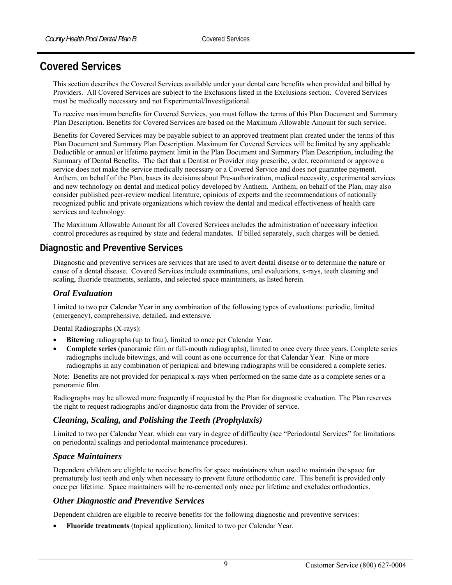# **Covered Services**

This section describes the Covered Services available under your dental care benefits when provided and billed by Providers. All Covered Services are subject to the Exclusions listed in the Exclusions section. Covered Services must be medically necessary and not Experimental/Investigational.

To receive maximum benefits for Covered Services, you must follow the terms of this Plan Document and Summary Plan Description. Benefits for Covered Services are based on the Maximum Allowable Amount for such service.

Benefits for Covered Services may be payable subject to an approved treatment plan created under the terms of this Plan Document and Summary Plan Description. Maximum for Covered Services will be limited by any applicable Deductible or annual or lifetime payment limit in the Plan Document and Summary Plan Description, including the Summary of Dental Benefits. The fact that a Dentist or Provider may prescribe, order, recommend or approve a service does not make the service medically necessary or a Covered Service and does not guarantee payment. Anthem, on behalf of the Plan, bases its decisions about Pre-authorization, medical necessity, experimental services and new technology on dental and medical policy developed by Anthem. Anthem, on behalf of the Plan, may also consider published peer-review medical literature, opinions of experts and the recommendations of nationally recognized public and private organizations which review the dental and medical effectiveness of health care services and technology.

The Maximum Allowable Amount for all Covered Services includes the administration of necessary infection control procedures as required by state and federal mandates. If billed separately, such charges will be denied.

# **Diagnostic and Preventive Services**

Diagnostic and preventive services are services that are used to avert dental disease or to determine the nature or cause of a dental disease. Covered Services include examinations, oral evaluations, x-rays, teeth cleaning and scaling, fluoride treatments, sealants, and selected space maintainers, as listed herein.

#### *Oral Evaluation*

Limited to two per Calendar Year in any combination of the following types of evaluations: periodic, limited (emergency), comprehensive, detailed, and extensive.

Dental Radiographs (X-rays):

- **Bitewing** radiographs (up to four), limited to once per Calendar Year.
- **Complete series** (panoramic film or full-mouth radiographs), limited to once every three years. Complete series radiographs include bitewings, and will count as one occurrence for that Calendar Year. Nine or more radiographs in any combination of periapical and bitewing radiographs will be considered a complete series.

Note: Benefits are not provided for periapical x-rays when performed on the same date as a complete series or a panoramic film.

Radiographs may be allowed more frequently if requested by the Plan for diagnostic evaluation. The Plan reserves the right to request radiographs and/or diagnostic data from the Provider of service.

#### *Cleaning, Scaling, and Polishing the Teeth (Prophylaxis)*

Limited to two per Calendar Year, which can vary in degree of difficulty (see "Periodontal Services" for limitations on periodontal scalings and periodontal maintenance procedures).

#### *Space Maintainers*

Dependent children are eligible to receive benefits for space maintainers when used to maintain the space for prematurely lost teeth and only when necessary to prevent future orthodontic care. This benefit is provided only once per lifetime. Space maintainers will be re-cemented only once per lifetime and excludes orthodontics.

#### *Other Diagnostic and Preventive Services*

Dependent children are eligible to receive benefits for the following diagnostic and preventive services:

**Fluoride treatments** (topical application), limited to two per Calendar Year.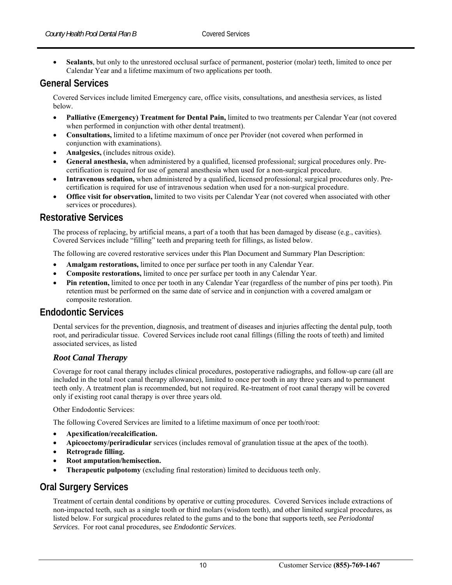**Sealants**, but only to the unrestored occlusal surface of permanent, posterior (molar) teeth, limited to once per Calendar Year and a lifetime maximum of two applications per tooth.

## **General Services**

Covered Services include limited Emergency care, office visits, consultations, and anesthesia services, as listed below.

- **Palliative (Emergency) Treatment for Dental Pain,** limited to two treatments per Calendar Year (not covered when performed in conjunction with other dental treatment).
- **Consultations,** limited to a lifetime maximum of once per Provider (not covered when performed in conjunction with examinations).
- **Analgesics,** (includes nitrous oxide).
- **General anesthesia,** when administered by a qualified, licensed professional; surgical procedures only. Precertification is required for use of general anesthesia when used for a non-surgical procedure.
- **Intravenous sedation,** when administered by a qualified, licensed professional; surgical procedures only. Precertification is required for use of intravenous sedation when used for a non-surgical procedure.
- **Office visit for observation,** limited to two visits per Calendar Year (not covered when associated with other services or procedures).

#### **Restorative Services**

The process of replacing, by artificial means, a part of a tooth that has been damaged by disease (e.g., cavities). Covered Services include "filling" teeth and preparing teeth for fillings, as listed below.

The following are covered restorative services under this Plan Document and Summary Plan Description:

- **Amalgam restorations,** limited to once per surface per tooth in any Calendar Year.
- **Composite restorations,** limited to once per surface per tooth in any Calendar Year.
- **Pin retention,** limited to once per tooth in any Calendar Year (regardless of the number of pins per tooth). Pin retention must be performed on the same date of service and in conjunction with a covered amalgam or composite restoration.

## **Endodontic Services**

Dental services for the prevention, diagnosis, and treatment of diseases and injuries affecting the dental pulp, tooth root, and periradicular tissue. Covered Services include root canal fillings (filling the roots of teeth) and limited associated services, as listed

#### *Root Canal Therapy*

Coverage for root canal therapy includes clinical procedures, postoperative radiographs, and follow-up care (all are included in the total root canal therapy allowance), limited to once per tooth in any three years and to permanent teeth only. A treatment plan is recommended, but not required. Re-treatment of root canal therapy will be covered only if existing root canal therapy is over three years old.

Other Endodontic Services:

The following Covered Services are limited to a lifetime maximum of once per tooth/root:

- **Apexification/recalcification.**
- **Apicoectomy/periradicular** services (includes removal of granulation tissue at the apex of the tooth).
- **Retrograde filling.**
- **Root amputation/hemisection.**
- **Therapeutic pulpotomy** (excluding final restoration) limited to deciduous teeth only.

## **Oral Surgery Services**

Treatment of certain dental conditions by operative or cutting procedures. Covered Services include extractions of non-impacted teeth, such as a single tooth or third molars (wisdom teeth), and other limited surgical procedures, as listed below. For surgical procedures related to the gums and to the bone that supports teeth, see *Periodontal Services*. For root canal procedures, see *Endodontic Services*.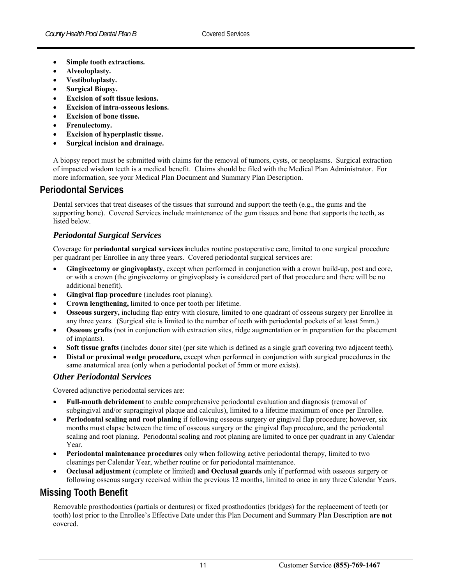- **Simple tooth extractions.**
- **Alveoloplasty.**
- **Vestibuloplasty.**
- **Surgical Biopsy.**
- **Excision of soft tissue lesions.**
- **Excision of intra-osseous lesions.**
- **Excision of bone tissue.**
- **Frenulectomy.**
- **Excision of hyperplastic tissue.**
- **Surgical incision and drainage.**

A biopsy report must be submitted with claims for the removal of tumors, cysts, or neoplasms. Surgical extraction of impacted wisdom teeth is a medical benefit. Claims should be filed with the Medical Plan Administrator. For more information, see your Medical Plan Document and Summary Plan Description.

## **Periodontal Services**

Dental services that treat diseases of the tissues that surround and support the teeth (e.g., the gums and the supporting bone). Covered Services include maintenance of the gum tissues and bone that supports the teeth, as listed below.

#### *Periodontal Surgical Services*

Coverage for p**eriodontal surgical services i**ncludes routine postoperative care, limited to one surgical procedure per quadrant per Enrollee in any three years. Covered periodontal surgical services are:

- **Gingivectomy or gingivoplasty,** except when performed in conjunction with a crown build-up, post and core, or with a crown (the gingivectomy or gingivoplasty is considered part of that procedure and there will be no additional benefit).
- **Gingival flap procedure** (includes root planing).
- **Crown lengthening,** limited to once per tooth per lifetime.
- **Osseous surgery,** including flap entry with closure, limited to one quadrant of osseous surgery per Enrollee in any three years. (Surgical site is limited to the number of teeth with periodontal pockets of at least 5mm.)
- **Osseous grafts** (not in conjunction with extraction sites, ridge augmentation or in preparation for the placement of implants).
- **Soft tissue grafts** (includes donor site) (per site which is defined as a single graft covering two adjacent teeth).
- **Distal or proximal wedge procedure,** except when performed in conjunction with surgical procedures in the same anatomical area (only when a periodontal pocket of 5mm or more exists).

#### *Other Periodontal Services*

Covered adjunctive periodontal services are:

- **Full-mouth debridement** to enable comprehensive periodontal evaluation and diagnosis (removal of subgingival and/or supragingival plaque and calculus), limited to a lifetime maximum of once per Enrollee.
- **Periodontal scaling and root planing** if following osseous surgery or gingival flap procedure; however, six months must elapse between the time of osseous surgery or the gingival flap procedure, and the periodontal scaling and root planing. Periodontal scaling and root planing are limited to once per quadrant in any Calendar Year.
- **Periodontal maintenance procedures** only when following active periodontal therapy, limited to two cleanings per Calendar Year, whether routine or for periodontal maintenance.
- **Occlusal adjustment** (complete or limited) **and Occlusal guards** only if performed with osseous surgery or following osseous surgery received within the previous 12 months, limited to once in any three Calendar Years.

# **Missing Tooth Benefit**

Removable prosthodontics (partials or dentures) or fixed prosthodontics (bridges) for the replacement of teeth (or tooth) lost prior to the Enrollee's Effective Date under this Plan Document and Summary Plan Description **are not** covered.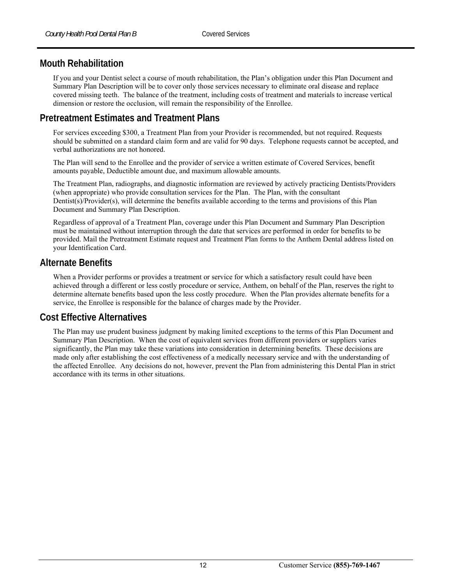# **Mouth Rehabilitation**

If you and your Dentist select a course of mouth rehabilitation, the Plan's obligation under this Plan Document and Summary Plan Description will be to cover only those services necessary to eliminate oral disease and replace covered missing teeth. The balance of the treatment, including costs of treatment and materials to increase vertical dimension or restore the occlusion, will remain the responsibility of the Enrollee.

# **Pretreatment Estimates and Treatment Plans**

For services exceeding \$300, a Treatment Plan from your Provider is recommended, but not required. Requests should be submitted on a standard claim form and are valid for 90 days. Telephone requests cannot be accepted, and verbal authorizations are not honored.

The Plan will send to the Enrollee and the provider of service a written estimate of Covered Services, benefit amounts payable, Deductible amount due, and maximum allowable amounts.

The Treatment Plan, radiographs, and diagnostic information are reviewed by actively practicing Dentists/Providers (when appropriate) who provide consultation services for the Plan. The Plan, with the consultant Dentist(s)/Provider(s), will determine the benefits available according to the terms and provisions of this Plan Document and Summary Plan Description.

Regardless of approval of a Treatment Plan, coverage under this Plan Document and Summary Plan Description must be maintained without interruption through the date that services are performed in order for benefits to be provided. Mail the Pretreatment Estimate request and Treatment Plan forms to the Anthem Dental address listed on your Identification Card.

# **Alternate Benefits**

When a Provider performs or provides a treatment or service for which a satisfactory result could have been achieved through a different or less costly procedure or service, Anthem, on behalf of the Plan, reserves the right to determine alternate benefits based upon the less costly procedure. When the Plan provides alternate benefits for a service, the Enrollee is responsible for the balance of charges made by the Provider.

## **Cost Effective Alternatives**

The Plan may use prudent business judgment by making limited exceptions to the terms of this Plan Document and Summary Plan Description. When the cost of equivalent services from different providers or suppliers varies significantly, the Plan may take these variations into consideration in determining benefits. These decisions are made only after establishing the cost effectiveness of a medically necessary service and with the understanding of the affected Enrollee. Any decisions do not, however, prevent the Plan from administering this Dental Plan in strict accordance with its terms in other situations.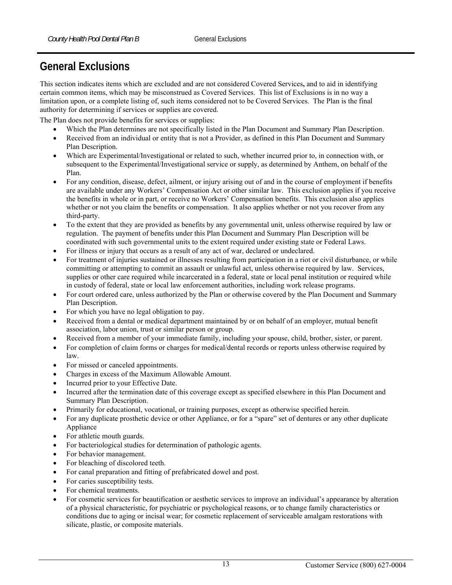# **General Exclusions**

This section indicates items which are excluded and are not considered Covered Services**,** and to aid in identifying certain common items, which may be misconstrued as Covered Services. This list of Exclusions is in no way a limitation upon, or a complete listing of, such items considered not to be Covered Services. The Plan is the final authority for determining if services or supplies are covered.

The Plan does not provide benefits for services or supplies:

- Which the Plan determines are not specifically listed in the Plan Document and Summary Plan Description.
- Received from an individual or entity that is not a Provider, as defined in this Plan Document and Summary Plan Description.
- Which are Experimental/Investigational or related to such, whether incurred prior to, in connection with, or subsequent to the Experimental/Investigational service or supply, as determined by Anthem, on behalf of the Plan.
- For any condition, disease, defect, ailment, or injury arising out of and in the course of employment if benefits are available under any Workers' Compensation Act or other similar law. This exclusion applies if you receive the benefits in whole or in part, or receive no Workers' Compensation benefits. This exclusion also applies whether or not you claim the benefits or compensation. It also applies whether or not you recover from any third-party.
- To the extent that they are provided as benefits by any governmental unit, unless otherwise required by law or regulation. The payment of benefits under this Plan Document and Summary Plan Description will be coordinated with such governmental units to the extent required under existing state or Federal Laws.
- For illness or injury that occurs as a result of any act of war, declared or undeclared.
- For treatment of injuries sustained or illnesses resulting from participation in a riot or civil disturbance, or while committing or attempting to commit an assault or unlawful act, unless otherwise required by law. Services, supplies or other care required while incarcerated in a federal, state or local penal institution or required while in custody of federal, state or local law enforcement authorities, including work release programs.
- For court ordered care, unless authorized by the Plan or otherwise covered by the Plan Document and Summary Plan Description.
- For which you have no legal obligation to pay.
- Received from a dental or medical department maintained by or on behalf of an employer, mutual benefit association, labor union, trust or similar person or group.
- Received from a member of your immediate family, including your spouse, child, brother, sister, or parent.
- For completion of claim forms or charges for medical/dental records or reports unless otherwise required by law.
- For missed or canceled appointments.
- Charges in excess of the Maximum Allowable Amount.
- Incurred prior to your Effective Date.
- Incurred after the termination date of this coverage except as specified elsewhere in this Plan Document and Summary Plan Description.
- Primarily for educational, vocational, or training purposes, except as otherwise specified herein.
- For any duplicate prosthetic device or other Appliance, or for a "spare" set of dentures or any other duplicate Appliance
- For athletic mouth guards.
- For bacteriological studies for determination of pathologic agents.
- For behavior management.
- For bleaching of discolored teeth.
- For canal preparation and fitting of prefabricated dowel and post.
- For caries susceptibility tests.
- For chemical treatments.
- For cosmetic services for beautification or aesthetic services to improve an individual's appearance by alteration of a physical characteristic, for psychiatric or psychological reasons, or to change family characteristics or conditions due to aging or incisal wear; for cosmetic replacement of serviceable amalgam restorations with silicate, plastic, or composite materials.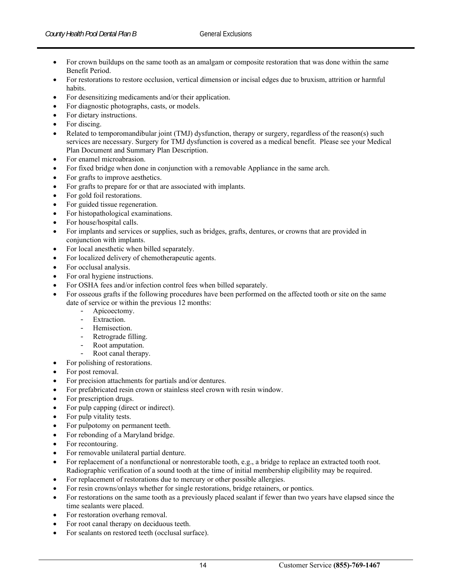- For crown buildups on the same tooth as an amalgam or composite restoration that was done within the same Benefit Period.
- For restorations to restore occlusion, vertical dimension or incisal edges due to bruxism, attrition or harmful habits.
- For desensitizing medicaments and/or their application.
- For diagnostic photographs, casts, or models.
- For dietary instructions.
- For discing.
- Related to temporomandibular joint (TMJ) dysfunction, therapy or surgery, regardless of the reason(s) such services are necessary. Surgery for TMJ dysfunction is covered as a medical benefit. Please see your Medical Plan Document and Summary Plan Description.
- For enamel microabrasion.
- For fixed bridge when done in conjunction with a removable Appliance in the same arch.
- For grafts to improve aesthetics.
- For grafts to prepare for or that are associated with implants.
- For gold foil restorations.
- For guided tissue regeneration.
- For histopathological examinations.
- For house/hospital calls.
- For implants and services or supplies, such as bridges, grafts, dentures, or crowns that are provided in conjunction with implants.
- For local anesthetic when billed separately.
- For localized delivery of chemotherapeutic agents.
- For occlusal analysis.
- For oral hygiene instructions.
- For OSHA fees and/or infection control fees when billed separately.
- For osseous grafts if the following procedures have been performed on the affected tooth or site on the same date of service or within the previous 12 months:
	- Apicoectomy.
	- Extraction.
	- Hemisection.
	- Retrograde filling.
	- Root amputation.
	- Root canal therapy.
	- For polishing of restorations.
- For post removal.
- For precision attachments for partials and/or dentures.
- For prefabricated resin crown or stainless steel crown with resin window.
- For prescription drugs.
- For pulp capping (direct or indirect).
- For pulp vitality tests.
- For pulpotomy on permanent teeth.
- For rebonding of a Maryland bridge.
- For recontouring.
- For removable unilateral partial denture.
- For replacement of a nonfunctional or nonrestorable tooth, e.g., a bridge to replace an extracted tooth root. Radiographic verification of a sound tooth at the time of initial membership eligibility may be required.
- For replacement of restorations due to mercury or other possible allergies.
- For resin crowns/onlays whether for single restorations, bridge retainers, or pontics.
- For restorations on the same tooth as a previously placed sealant if fewer than two years have elapsed since the time sealants were placed.
- For restoration overhang removal.
- For root canal therapy on deciduous teeth.
- For sealants on restored teeth (occlusal surface).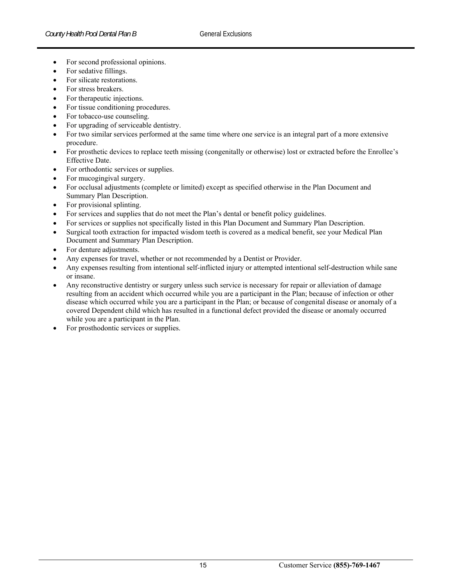- For second professional opinions.
- For sedative fillings.
- For silicate restorations.
- For stress breakers.
- For therapeutic injections.
- For tissue conditioning procedures.
- For tobacco-use counseling.
- For upgrading of serviceable dentistry.
- For two similar services performed at the same time where one service is an integral part of a more extensive procedure.
- For prosthetic devices to replace teeth missing (congenitally or otherwise) lost or extracted before the Enrollee's Effective Date.
- For orthodontic services or supplies.
- For mucogingival surgery.
- For occlusal adjustments (complete or limited) except as specified otherwise in the Plan Document and Summary Plan Description.
- For provisional splinting.
- For services and supplies that do not meet the Plan's dental or benefit policy guidelines.
- For services or supplies not specifically listed in this Plan Document and Summary Plan Description.
- Surgical tooth extraction for impacted wisdom teeth is covered as a medical benefit, see your Medical Plan Document and Summary Plan Description.
- For denture adjustments.
- Any expenses for travel, whether or not recommended by a Dentist or Provider.
- Any expenses resulting from intentional self-inflicted injury or attempted intentional self-destruction while sane or insane.
- Any reconstructive dentistry or surgery unless such service is necessary for repair or alleviation of damage resulting from an accident which occurred while you are a participant in the Plan; because of infection or other disease which occurred while you are a participant in the Plan; or because of congenital disease or anomaly of a covered Dependent child which has resulted in a functional defect provided the disease or anomaly occurred while you are a participant in the Plan.
- For prosthodontic services or supplies.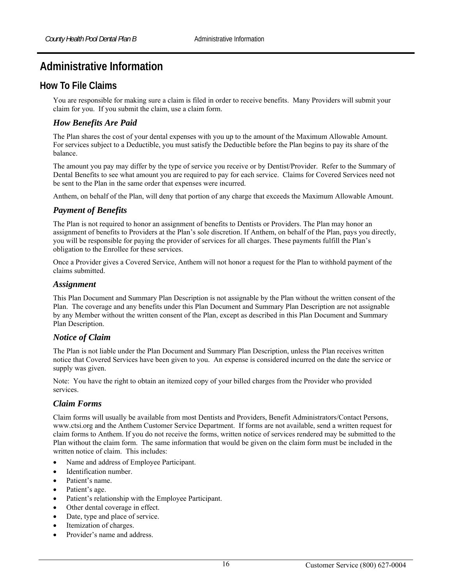# **Administrative Information**

## **How To File Claims**

You are responsible for making sure a claim is filed in order to receive benefits. Many Providers will submit your claim for you. If you submit the claim, use a claim form.

#### *How Benefits Are Paid*

The Plan shares the cost of your dental expenses with you up to the amount of the Maximum Allowable Amount. For services subject to a Deductible, you must satisfy the Deductible before the Plan begins to pay its share of the balance.

The amount you pay may differ by the type of service you receive or by Dentist/Provider. Refer to the Summary of Dental Benefits to see what amount you are required to pay for each service. Claims for Covered Services need not be sent to the Plan in the same order that expenses were incurred.

Anthem, on behalf of the Plan, will deny that portion of any charge that exceeds the Maximum Allowable Amount.

## *Payment of Benefits*

The Plan is not required to honor an assignment of benefits to Dentists or Providers. The Plan may honor an assignment of benefits to Providers at the Plan's sole discretion. If Anthem, on behalf of the Plan, pays you directly, you will be responsible for paying the provider of services for all charges. These payments fulfill the Plan's obligation to the Enrollee for these services.

Once a Provider gives a Covered Service, Anthem will not honor a request for the Plan to withhold payment of the claims submitted.

#### *Assignment*

This Plan Document and Summary Plan Description is not assignable by the Plan without the written consent of the Plan. The coverage and any benefits under this Plan Document and Summary Plan Description are not assignable by any Member without the written consent of the Plan, except as described in this Plan Document and Summary Plan Description.

#### *Notice of Claim*

The Plan is not liable under the Plan Document and Summary Plan Description, unless the Plan receives written notice that Covered Services have been given to you. An expense is considered incurred on the date the service or supply was given.

Note: You have the right to obtain an itemized copy of your billed charges from the Provider who provided services.

#### *Claim Forms*

Claim forms will usually be available from most Dentists and Providers, Benefit Administrators/Contact Persons, www.ctsi.org and the Anthem Customer Service Department. If forms are not available, send a written request for claim forms to Anthem. If you do not receive the forms, written notice of services rendered may be submitted to the Plan without the claim form. The same information that would be given on the claim form must be included in the written notice of claim. This includes:

- Name and address of Employee Participant.
- Identification number.
- Patient's name.
- Patient's age.
- Patient's relationship with the Employee Participant.
- Other dental coverage in effect.
- Date, type and place of service.
- Itemization of charges.
- Provider's name and address.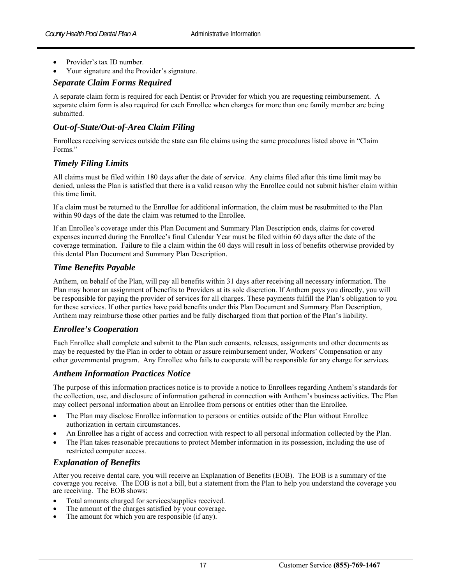- Provider's tax ID number.
- Your signature and the Provider's signature.

#### *Separate Claim Forms Required*

A separate claim form is required for each Dentist or Provider for which you are requesting reimbursement. A separate claim form is also required for each Enrollee when charges for more than one family member are being submitted.

#### *Out-of-State/Out-of-Area Claim Filing*

Enrollees receiving services outside the state can file claims using the same procedures listed above in "Claim Forms."

#### *Timely Filing Limits*

All claims must be filed within 180 days after the date of service. Any claims filed after this time limit may be denied, unless the Plan is satisfied that there is a valid reason why the Enrollee could not submit his/her claim within this time limit.

If a claim must be returned to the Enrollee for additional information, the claim must be resubmitted to the Plan within 90 days of the date the claim was returned to the Enrollee.

If an Enrollee's coverage under this Plan Document and Summary Plan Description ends, claims for covered expenses incurred during the Enrollee's final Calendar Year must be filed within 60 days after the date of the coverage termination. Failure to file a claim within the 60 days will result in loss of benefits otherwise provided by this dental Plan Document and Summary Plan Description.

#### *Time Benefits Payable*

Anthem, on behalf of the Plan, will pay all benefits within 31 days after receiving all necessary information. The Plan may honor an assignment of benefits to Providers at its sole discretion. If Anthem pays you directly, you will be responsible for paying the provider of services for all charges. These payments fulfill the Plan's obligation to you for these services. If other parties have paid benefits under this Plan Document and Summary Plan Description, Anthem may reimburse those other parties and be fully discharged from that portion of the Plan's liability.

#### *Enrollee's Cooperation*

Each Enrollee shall complete and submit to the Plan such consents, releases, assignments and other documents as may be requested by the Plan in order to obtain or assure reimbursement under, Workers' Compensation or any other governmental program. Any Enrollee who fails to cooperate will be responsible for any charge for services.

#### *Anthem Information Practices Notice*

The purpose of this information practices notice is to provide a notice to Enrollees regarding Anthem's standards for the collection, use, and disclosure of information gathered in connection with Anthem's business activities. The Plan may collect personal information about an Enrollee from persons or entities other than the Enrollee.

- The Plan may disclose Enrollee information to persons or entities outside of the Plan without Enrollee authorization in certain circumstances.
- An Enrollee has a right of access and correction with respect to all personal information collected by the Plan.
- The Plan takes reasonable precautions to protect Member information in its possession, including the use of restricted computer access.

#### *Explanation of Benefits*

After you receive dental care, you will receive an Explanation of Benefits (EOB). The EOB is a summary of the coverage you receive. The EOB is not a bill, but a statement from the Plan to help you understand the coverage you are receiving. The EOB shows:

- Total amounts charged for services/supplies received.
- The amount of the charges satisfied by your coverage.
- The amount for which you are responsible (if any).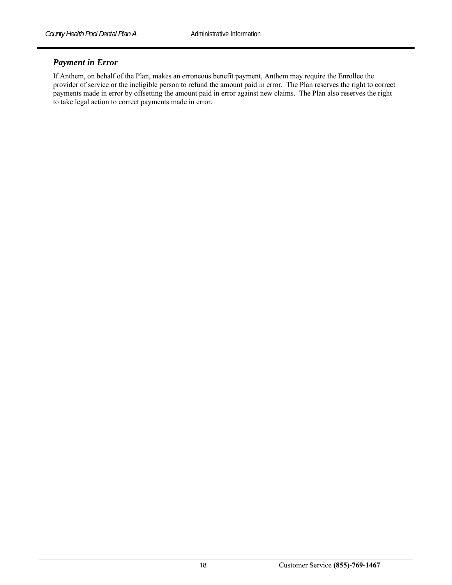#### *Payment in Error*

If Anthem, on behalf of the Plan, makes an erroneous benefit payment, Anthem may require the Enrollee the provider of service or the ineligible person to refund the amount paid in error. The Plan reserves the right to correct payments made in error by offsetting the amount paid in error against new claims. The Plan also reserves the right to take legal action to correct payments made in error.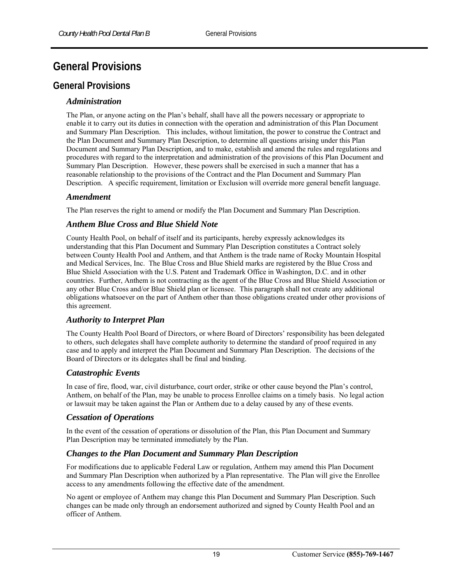# **General Provisions**

# **General Provisions**

#### *Administration*

The Plan, or anyone acting on the Plan's behalf, shall have all the powers necessary or appropriate to enable it to carry out its duties in connection with the operation and administration of this Plan Document and Summary Plan Description. This includes, without limitation, the power to construe the Contract and the Plan Document and Summary Plan Description, to determine all questions arising under this Plan Document and Summary Plan Description, and to make, establish and amend the rules and regulations and procedures with regard to the interpretation and administration of the provisions of this Plan Document and Summary Plan Description. However, these powers shall be exercised in such a manner that has a reasonable relationship to the provisions of the Contract and the Plan Document and Summary Plan Description. A specific requirement, limitation or Exclusion will override more general benefit language.

#### *Amendment*

The Plan reserves the right to amend or modify the Plan Document and Summary Plan Description.

#### *Anthem Blue Cross and Blue Shield Note*

County Health Pool, on behalf of itself and its participants, hereby expressly acknowledges its understanding that this Plan Document and Summary Plan Description constitutes a Contract solely between County Health Pool and Anthem, and that Anthem is the trade name of Rocky Mountain Hospital and Medical Services, Inc. The Blue Cross and Blue Shield marks are registered by the Blue Cross and Blue Shield Association with the U.S. Patent and Trademark Office in Washington, D.C. and in other countries. Further, Anthem is not contracting as the agent of the Blue Cross and Blue Shield Association or any other Blue Cross and/or Blue Shield plan or licensee. This paragraph shall not create any additional obligations whatsoever on the part of Anthem other than those obligations created under other provisions of this agreement.

#### *Authority to Interpret Plan*

The County Health Pool Board of Directors, or where Board of Directors' responsibility has been delegated to others, such delegates shall have complete authority to determine the standard of proof required in any case and to apply and interpret the Plan Document and Summary Plan Description. The decisions of the Board of Directors or its delegates shall be final and binding.

#### *Catastrophic Events*

In case of fire, flood, war, civil disturbance, court order, strike or other cause beyond the Plan's control, Anthem, on behalf of the Plan, may be unable to process Enrollee claims on a timely basis. No legal action or lawsuit may be taken against the Plan or Anthem due to a delay caused by any of these events.

#### *Cessation of Operations*

In the event of the cessation of operations or dissolution of the Plan, this Plan Document and Summary Plan Description may be terminated immediately by the Plan.

#### *Changes to the Plan Document and Summary Plan Description*

For modifications due to applicable Federal Law or regulation, Anthem may amend this Plan Document and Summary Plan Description when authorized by a Plan representative. The Plan will give the Enrollee access to any amendments following the effective date of the amendment.

No agent or employee of Anthem may change this Plan Document and Summary Plan Description. Such changes can be made only through an endorsement authorized and signed by County Health Pool and an officer of Anthem.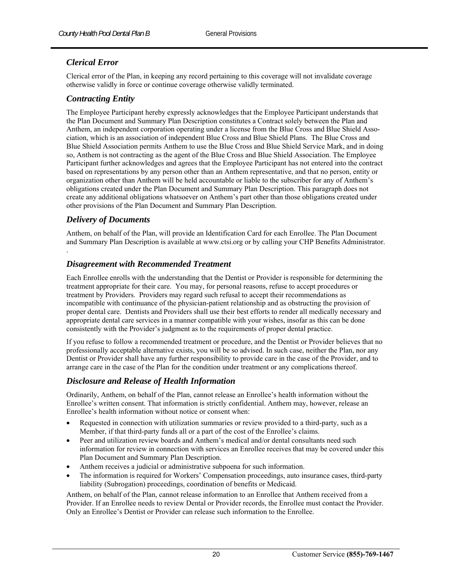#### *Clerical Error*

Clerical error of the Plan, in keeping any record pertaining to this coverage will not invalidate coverage otherwise validly in force or continue coverage otherwise validly terminated.

#### *Contracting Entity*

The Employee Participant hereby expressly acknowledges that the Employee Participant understands that the Plan Document and Summary Plan Description constitutes a Contract solely between the Plan and Anthem, an independent corporation operating under a license from the Blue Cross and Blue Shield Association, which is an association of independent Blue Cross and Blue Shield Plans. The Blue Cross and Blue Shield Association permits Anthem to use the Blue Cross and Blue Shield Service Mark, and in doing so, Anthem is not contracting as the agent of the Blue Cross and Blue Shield Association. The Employee Participant further acknowledges and agrees that the Employee Participant has not entered into the contract based on representations by any person other than an Anthem representative, and that no person, entity or organization other than Anthem will be held accountable or liable to the subscriber for any of Anthem's obligations created under the Plan Document and Summary Plan Description. This paragraph does not create any additional obligations whatsoever on Anthem's part other than those obligations created under other provisions of the Plan Document and Summary Plan Description.

#### *Delivery of Documents*

.

Anthem, on behalf of the Plan, will provide an Identification Card for each Enrollee. The Plan Document and Summary Plan Description is available at www.ctsi.org or by calling your CHP Benefits Administrator.

#### *Disagreement with Recommended Treatment*

Each Enrollee enrolls with the understanding that the Dentist or Provider is responsible for determining the treatment appropriate for their care. You may, for personal reasons, refuse to accept procedures or treatment by Providers. Providers may regard such refusal to accept their recommendations as incompatible with continuance of the physician-patient relationship and as obstructing the provision of proper dental care. Dentists and Providers shall use their best efforts to render all medically necessary and appropriate dental care services in a manner compatible with your wishes, insofar as this can be done consistently with the Provider's judgment as to the requirements of proper dental practice.

If you refuse to follow a recommended treatment or procedure, and the Dentist or Provider believes that no professionally acceptable alternative exists, you will be so advised. In such case, neither the Plan, nor any Dentist or Provider shall have any further responsibility to provide care in the case of the Provider, and to arrange care in the case of the Plan for the condition under treatment or any complications thereof.

#### *Disclosure and Release of Health Information*

Ordinarily, Anthem, on behalf of the Plan, cannot release an Enrollee's health information without the Enrollee's written consent. That information is strictly confidential. Anthem may, however, release an Enrollee's health information without notice or consent when:

- Requested in connection with utilization summaries or review provided to a third-party, such as a Member, if that third-party funds all or a part of the cost of the Enrollee's claims.
- Peer and utilization review boards and Anthem's medical and/or dental consultants need such information for review in connection with services an Enrollee receives that may be covered under this Plan Document and Summary Plan Description.
- Anthem receives a judicial or administrative subpoena for such information.
- The information is required for Workers' Compensation proceedings, auto insurance cases, third-party liability (Subrogation) proceedings, coordination of benefits or Medicaid.

Anthem, on behalf of the Plan, cannot release information to an Enrollee that Anthem received from a Provider. If an Enrollee needs to review Dental or Provider records, the Enrollee must contact the Provider. Only an Enrollee's Dentist or Provider can release such information to the Enrollee.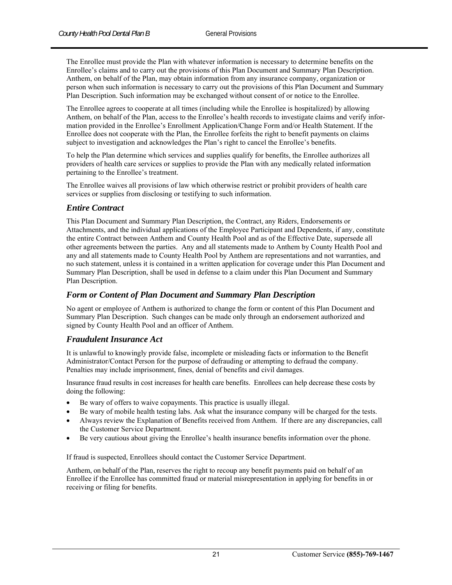The Enrollee must provide the Plan with whatever information is necessary to determine benefits on the Enrollee's claims and to carry out the provisions of this Plan Document and Summary Plan Description. Anthem, on behalf of the Plan, may obtain information from any insurance company, organization or person when such information is necessary to carry out the provisions of this Plan Document and Summary Plan Description. Such information may be exchanged without consent of or notice to the Enrollee.

The Enrollee agrees to cooperate at all times (including while the Enrollee is hospitalized) by allowing Anthem, on behalf of the Plan, access to the Enrollee's health records to investigate claims and verify information provided in the Enrollee's Enrollment Application/Change Form and/or Health Statement. If the Enrollee does not cooperate with the Plan, the Enrollee forfeits the right to benefit payments on claims subject to investigation and acknowledges the Plan's right to cancel the Enrollee's benefits.

To help the Plan determine which services and supplies qualify for benefits, the Enrollee authorizes all providers of health care services or supplies to provide the Plan with any medically related information pertaining to the Enrollee's treatment.

The Enrollee waives all provisions of law which otherwise restrict or prohibit providers of health care services or supplies from disclosing or testifying to such information.

#### *Entire Contract*

This Plan Document and Summary Plan Description, the Contract, any Riders, Endorsements or Attachments, and the individual applications of the Employee Participant and Dependents, if any, constitute the entire Contract between Anthem and County Health Pool and as of the Effective Date, supersede all other agreements between the parties. Any and all statements made to Anthem by County Health Pool and any and all statements made to County Health Pool by Anthem are representations and not warranties, and no such statement, unless it is contained in a written application for coverage under this Plan Document and Summary Plan Description, shall be used in defense to a claim under this Plan Document and Summary Plan Description.

#### *Form or Content of Plan Document and Summary Plan Description*

No agent or employee of Anthem is authorized to change the form or content of this Plan Document and Summary Plan Description. Such changes can be made only through an endorsement authorized and signed by County Health Pool and an officer of Anthem.

#### *Fraudulent Insurance Act*

It is unlawful to knowingly provide false, incomplete or misleading facts or information to the Benefit Administrator/Contact Person for the purpose of defrauding or attempting to defraud the company. Penalties may include imprisonment, fines, denial of benefits and civil damages.

Insurance fraud results in cost increases for health care benefits. Enrollees can help decrease these costs by doing the following:

- Be wary of offers to waive copayments. This practice is usually illegal.
- Be wary of mobile health testing labs. Ask what the insurance company will be charged for the tests.
- Always review the Explanation of Benefits received from Anthem. If there are any discrepancies, call the Customer Service Department.
- Be very cautious about giving the Enrollee's health insurance benefits information over the phone.

If fraud is suspected, Enrollees should contact the Customer Service Department.

Anthem, on behalf of the Plan, reserves the right to recoup any benefit payments paid on behalf of an Enrollee if the Enrollee has committed fraud or material misrepresentation in applying for benefits in or receiving or filing for benefits.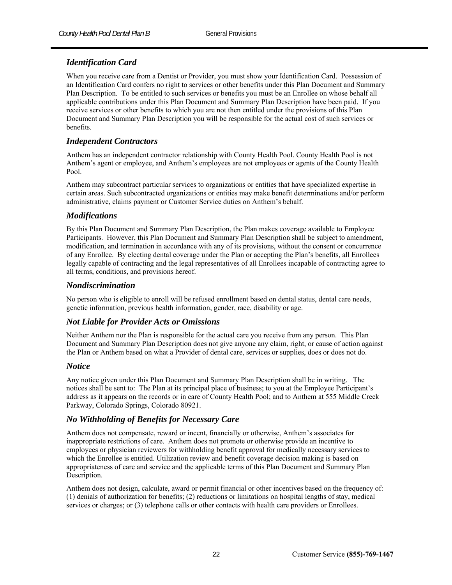#### *Identification Card*

When you receive care from a Dentist or Provider, you must show your Identification Card. Possession of an Identification Card confers no right to services or other benefits under this Plan Document and Summary Plan Description. To be entitled to such services or benefits you must be an Enrollee on whose behalf all applicable contributions under this Plan Document and Summary Plan Description have been paid. If you receive services or other benefits to which you are not then entitled under the provisions of this Plan Document and Summary Plan Description you will be responsible for the actual cost of such services or benefits.

#### *Independent Contractors*

Anthem has an independent contractor relationship with County Health Pool. County Health Pool is not Anthem's agent or employee, and Anthem's employees are not employees or agents of the County Health Pool.

Anthem may subcontract particular services to organizations or entities that have specialized expertise in certain areas. Such subcontracted organizations or entities may make benefit determinations and/or perform administrative, claims payment or Customer Service duties on Anthem's behalf.

#### *Modifications*

By this Plan Document and Summary Plan Description, the Plan makes coverage available to Employee Participants. However, this Plan Document and Summary Plan Description shall be subject to amendment, modification, and termination in accordance with any of its provisions, without the consent or concurrence of any Enrollee. By electing dental coverage under the Plan or accepting the Plan's benefits, all Enrollees legally capable of contracting and the legal representatives of all Enrollees incapable of contracting agree to all terms, conditions, and provisions hereof.

#### *Nondiscrimination*

No person who is eligible to enroll will be refused enrollment based on dental status, dental care needs, genetic information, previous health information, gender, race, disability or age.

#### *Not Liable for Provider Acts or Omissions*

Neither Anthem nor the Plan is responsible for the actual care you receive from any person. This Plan Document and Summary Plan Description does not give anyone any claim, right, or cause of action against the Plan or Anthem based on what a Provider of dental care, services or supplies, does or does not do.

#### *Notice*

Any notice given under this Plan Document and Summary Plan Description shall be in writing. The notices shall be sent to: The Plan at its principal place of business; to you at the Employee Participant's address as it appears on the records or in care of County Health Pool; and to Anthem at 555 Middle Creek Parkway, Colorado Springs, Colorado 80921.

#### *No Withholding of Benefits for Necessary Care*

Anthem does not compensate, reward or incent, financially or otherwise, Anthem's associates for inappropriate restrictions of care. Anthem does not promote or otherwise provide an incentive to employees or physician reviewers for withholding benefit approval for medically necessary services to which the Enrollee is entitled. Utilization review and benefit coverage decision making is based on appropriateness of care and service and the applicable terms of this Plan Document and Summary Plan Description.

Anthem does not design, calculate, award or permit financial or other incentives based on the frequency of: (1) denials of authorization for benefits; (2) reductions or limitations on hospital lengths of stay, medical services or charges; or (3) telephone calls or other contacts with health care providers or Enrollees.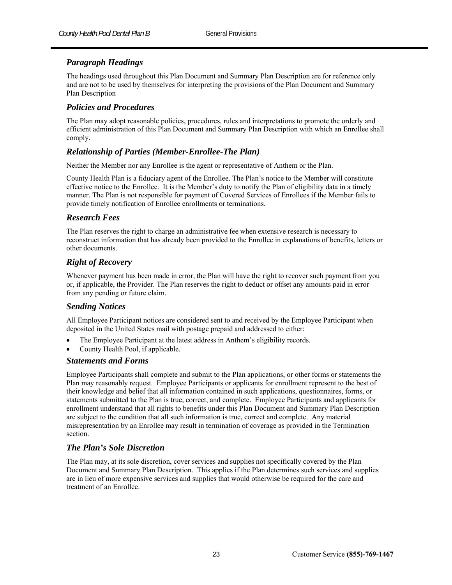## *Paragraph Headings*

The headings used throughout this Plan Document and Summary Plan Description are for reference only and are not to be used by themselves for interpreting the provisions of the Plan Document and Summary Plan Description

#### *Policies and Procedures*

The Plan may adopt reasonable policies, procedures, rules and interpretations to promote the orderly and efficient administration of this Plan Document and Summary Plan Description with which an Enrollee shall comply.

#### *Relationship of Parties (Member-Enrollee-The Plan)*

Neither the Member nor any Enrollee is the agent or representative of Anthem or the Plan.

County Health Plan is a fiduciary agent of the Enrollee. The Plan's notice to the Member will constitute effective notice to the Enrollee. It is the Member's duty to notify the Plan of eligibility data in a timely manner. The Plan is not responsible for payment of Covered Services of Enrollees if the Member fails to provide timely notification of Enrollee enrollments or terminations.

#### *Research Fees*

The Plan reserves the right to charge an administrative fee when extensive research is necessary to reconstruct information that has already been provided to the Enrollee in explanations of benefits, letters or other documents.

#### *Right of Recovery*

Whenever payment has been made in error, the Plan will have the right to recover such payment from you or, if applicable, the Provider. The Plan reserves the right to deduct or offset any amounts paid in error from any pending or future claim.

#### *Sending Notices*

All Employee Participant notices are considered sent to and received by the Employee Participant when deposited in the United States mail with postage prepaid and addressed to either:

- The Employee Participant at the latest address in Anthem's eligibility records.
- County Health Pool, if applicable.

#### *Statements and Forms*

Employee Participants shall complete and submit to the Plan applications, or other forms or statements the Plan may reasonably request. Employee Participants or applicants for enrollment represent to the best of their knowledge and belief that all information contained in such applications, questionnaires, forms, or statements submitted to the Plan is true, correct, and complete. Employee Participants and applicants for enrollment understand that all rights to benefits under this Plan Document and Summary Plan Description are subject to the condition that all such information is true, correct and complete. Any material misrepresentation by an Enrollee may result in termination of coverage as provided in the Termination section.

#### *The Plan's Sole Discretion*

The Plan may, at its sole discretion, cover services and supplies not specifically covered by the Plan Document and Summary Plan Description. This applies if the Plan determines such services and supplies are in lieu of more expensive services and supplies that would otherwise be required for the care and treatment of an Enrollee.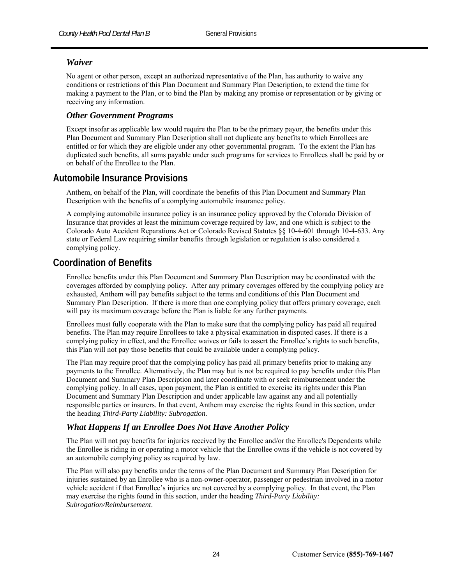#### *Waiver*

No agent or other person, except an authorized representative of the Plan, has authority to waive any conditions or restrictions of this Plan Document and Summary Plan Description, to extend the time for making a payment to the Plan, or to bind the Plan by making any promise or representation or by giving or receiving any information.

#### *Other Government Programs*

Except insofar as applicable law would require the Plan to be the primary payor, the benefits under this Plan Document and Summary Plan Description shall not duplicate any benefits to which Enrollees are entitled or for which they are eligible under any other governmental program. To the extent the Plan has duplicated such benefits, all sums payable under such programs for services to Enrollees shall be paid by or on behalf of the Enrollee to the Plan.

# **Automobile Insurance Provisions**

Anthem, on behalf of the Plan, will coordinate the benefits of this Plan Document and Summary Plan Description with the benefits of a complying automobile insurance policy.

A complying automobile insurance policy is an insurance policy approved by the Colorado Division of Insurance that provides at least the minimum coverage required by law, and one which is subject to the Colorado Auto Accident Reparations Act or Colorado Revised Statutes §§ 10-4-601 through 10-4-633. Any state or Federal Law requiring similar benefits through legislation or regulation is also considered a complying policy.

# **Coordination of Benefits**

Enrollee benefits under this Plan Document and Summary Plan Description may be coordinated with the coverages afforded by complying policy. After any primary coverages offered by the complying policy are exhausted, Anthem will pay benefits subject to the terms and conditions of this Plan Document and Summary Plan Description. If there is more than one complying policy that offers primary coverage, each will pay its maximum coverage before the Plan is liable for any further payments.

Enrollees must fully cooperate with the Plan to make sure that the complying policy has paid all required benefits. The Plan may require Enrollees to take a physical examination in disputed cases. If there is a complying policy in effect, and the Enrollee waives or fails to assert the Enrollee's rights to such benefits, this Plan will not pay those benefits that could be available under a complying policy.

The Plan may require proof that the complying policy has paid all primary benefits prior to making any payments to the Enrollee. Alternatively, the Plan may but is not be required to pay benefits under this Plan Document and Summary Plan Description and later coordinate with or seek reimbursement under the complying policy. In all cases, upon payment, the Plan is entitled to exercise its rights under this Plan Document and Summary Plan Description and under applicable law against any and all potentially responsible parties or insurers. In that event, Anthem may exercise the rights found in this section*,* under the heading *Third-Party Liability: Subrogation*.

#### *What Happens If an Enrollee Does Not Have Another Policy*

The Plan will not pay benefits for injuries received by the Enrollee and/or the Enrollee's Dependents while the Enrollee is riding in or operating a motor vehicle that the Enrollee owns if the vehicle is not covered by an automobile complying policy as required by law.

The Plan will also pay benefits under the terms of the Plan Document and Summary Plan Description for injuries sustained by an Enrollee who is a non-owner-operator, passenger or pedestrian involved in a motor vehicle accident if that Enrollee's injuries are not covered by a complying policy. In that event, the Plan may exercise the rights found in this section, under the heading *Third-Party Liability: Subrogation/Reimbursement*.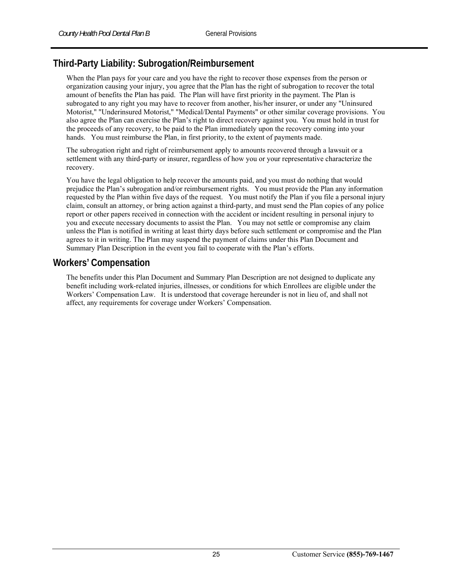# **Third-Party Liability: Subrogation/Reimbursement**

When the Plan pays for your care and you have the right to recover those expenses from the person or organization causing your injury, you agree that the Plan has the right of subrogation to recover the total amount of benefits the Plan has paid. The Plan will have first priority in the payment. The Plan is subrogated to any right you may have to recover from another, his/her insurer, or under any "Uninsured Motorist," "Underinsured Motorist," "Medical/Dental Payments" or other similar coverage provisions. You also agree the Plan can exercise the Plan's right to direct recovery against you. You must hold in trust for the proceeds of any recovery, to be paid to the Plan immediately upon the recovery coming into your hands. You must reimburse the Plan, in first priority, to the extent of payments made.

The subrogation right and right of reimbursement apply to amounts recovered through a lawsuit or a settlement with any third-party or insurer, regardless of how you or your representative characterize the recovery.

You have the legal obligation to help recover the amounts paid, and you must do nothing that would prejudice the Plan's subrogation and/or reimbursement rights. You must provide the Plan any information requested by the Plan within five days of the request. You must notify the Plan if you file a personal injury claim, consult an attorney, or bring action against a third-party, and must send the Plan copies of any police report or other papers received in connection with the accident or incident resulting in personal injury to you and execute necessary documents to assist the Plan. You may not settle or compromise any claim unless the Plan is notified in writing at least thirty days before such settlement or compromise and the Plan agrees to it in writing. The Plan may suspend the payment of claims under this Plan Document and Summary Plan Description in the event you fail to cooperate with the Plan's efforts.

# **Workers' Compensation**

The benefits under this Plan Document and Summary Plan Description are not designed to duplicate any benefit including work-related injuries, illnesses, or conditions for which Enrollees are eligible under the Workers' Compensation Law. It is understood that coverage hereunder is not in lieu of, and shall not affect, any requirements for coverage under Workers' Compensation.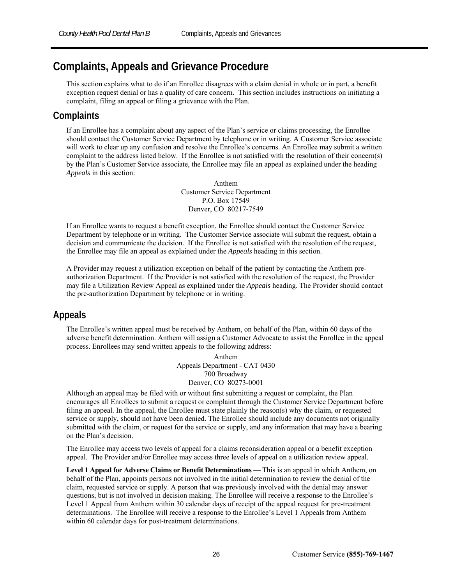# **Complaints, Appeals and Grievance Procedure**

This section explains what to do if an Enrollee disagrees with a claim denial in whole or in part, a benefit exception request denial or has a quality of care concern. This section includes instructions on initiating a complaint, filing an appeal or filing a grievance with the Plan.

# **Complaints**

If an Enrollee has a complaint about any aspect of the Plan's service or claims processing, the Enrollee should contact the Customer Service Department by telephone or in writing. A Customer Service associate will work to clear up any confusion and resolve the Enrollee's concerns. An Enrollee may submit a written complaint to the address listed below. If the Enrollee is not satisfied with the resolution of their concern(s) by the Plan's Customer Service associate, the Enrollee may file an appeal as explained under the heading *Appeals* in this section:

> Anthem Customer Service Department P.O. Box 17549 Denver, CO 80217-7549

If an Enrollee wants to request a benefit exception, the Enrollee should contact the Customer Service Department by telephone or in writing. The Customer Service associate will submit the request, obtain a decision and communicate the decision. If the Enrollee is not satisfied with the resolution of the request, the Enrollee may file an appeal as explained under the *Appeals* heading in this section.

A Provider may request a utilization exception on behalf of the patient by contacting the Anthem preauthorization Department. If the Provider is not satisfied with the resolution of the request, the Provider may file a Utilization Review Appeal as explained under the *Appeals* heading. The Provider should contact the pre-authorization Department by telephone or in writing.

# **Appeals**

The Enrollee's written appeal must be received by Anthem, on behalf of the Plan, within 60 days of the adverse benefit determination. Anthem will assign a Customer Advocate to assist the Enrollee in the appeal process. Enrollees may send written appeals to the following address:

> Anthem Appeals Department - CAT 0430 700 Broadway Denver, CO 80273-0001

Although an appeal may be filed with or without first submitting a request or complaint, the Plan encourages all Enrollees to submit a request or complaint through the Customer Service Department before filing an appeal. In the appeal, the Enrollee must state plainly the reason(s) why the claim, or requested service or supply, should not have been denied. The Enrollee should include any documents not originally submitted with the claim, or request for the service or supply, and any information that may have a bearing on the Plan's decision.

The Enrollee may access two levels of appeal for a claims reconsideration appeal or a benefit exception appeal. The Provider and/or Enrollee may access three levels of appeal on a utilization review appeal.

**Level 1 Appeal for Adverse Claims or Benefit Determinations** — This is an appeal in which Anthem, on behalf of the Plan, appoints persons not involved in the initial determination to review the denial of the claim, requested service or supply. A person that was previously involved with the denial may answer questions, but is not involved in decision making. The Enrollee will receive a response to the Enrollee's Level 1 Appeal from Anthem within 30 calendar days of receipt of the appeal request for pre-treatment determinations. The Enrollee will receive a response to the Enrollee's Level 1 Appeals from Anthem within 60 calendar days for post-treatment determinations.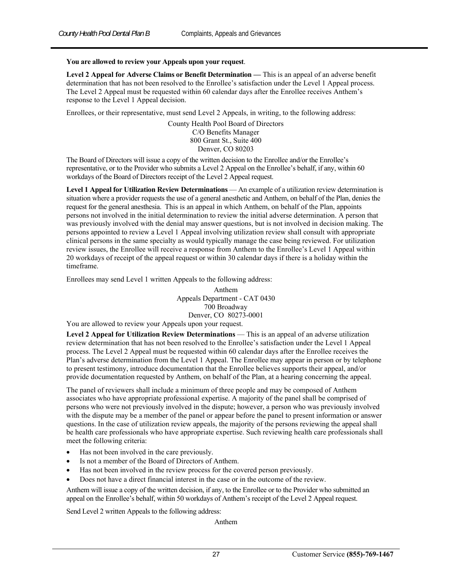#### **You are allowed to review your Appeals upon your request**.

**Level 2 Appeal for Adverse Claims or Benefit Determination —** This is an appeal of an adverse benefit determination that has not been resolved to the Enrollee's satisfaction under the Level 1 Appeal process. The Level 2 Appeal must be requested within 60 calendar days after the Enrollee receives Anthem's response to the Level 1 Appeal decision.

Enrollees, or their representative, must send Level 2 Appeals, in writing, to the following address:

County Health Pool Board of Directors C/O Benefits Manager 800 Grant St., Suite 400 Denver, CO 80203

The Board of Directors will issue a copy of the written decision to the Enrollee and/or the Enrollee's representative, or to the Provider who submits a Level 2 Appeal on the Enrollee's behalf, if any, within 60 workdays of the Board of Directors receipt of the Level 2 Appeal request.

**Level 1 Appeal for Utilization Review Determinations** — An example of a utilization review determination is situation where a provider requests the use of a general anesthetic and Anthem, on behalf of the Plan, denies the request for the general anesthesia. This is an appeal in which Anthem, on behalf of the Plan, appoints persons not involved in the initial determination to review the initial adverse determination. A person that was previously involved with the denial may answer questions, but is not involved in decision making. The persons appointed to review a Level 1 Appeal involving utilization review shall consult with appropriate clinical persons in the same specialty as would typically manage the case being reviewed. For utilization review issues, the Enrollee will receive a response from Anthem to the Enrollee's Level 1 Appeal within 20 workdays of receipt of the appeal request or within 30 calendar days if there is a holiday within the timeframe.

Enrollees may send Level 1 written Appeals to the following address:

Anthem Appeals Department - CAT 0430 700 Broadway Denver, CO 80273-0001

You are allowed to review your Appeals upon your request.

**Level 2 Appeal for Utilization Review Determinations** — This is an appeal of an adverse utilization review determination that has not been resolved to the Enrollee's satisfaction under the Level 1 Appeal process. The Level 2 Appeal must be requested within 60 calendar days after the Enrollee receives the Plan's adverse determination from the Level 1 Appeal. The Enrollee may appear in person or by telephone to present testimony, introduce documentation that the Enrollee believes supports their appeal, and/or provide documentation requested by Anthem, on behalf of the Plan, at a hearing concerning the appeal.

The panel of reviewers shall include a minimum of three people and may be composed of Anthem associates who have appropriate professional expertise. A majority of the panel shall be comprised of persons who were not previously involved in the dispute; however, a person who was previously involved with the dispute may be a member of the panel or appear before the panel to present information or answer questions. In the case of utilization review appeals, the majority of the persons reviewing the appeal shall be health care professionals who have appropriate expertise. Such reviewing health care professionals shall meet the following criteria:

- Has not been involved in the care previously.
- Is not a member of the Board of Directors of Anthem.
- Has not been involved in the review process for the covered person previously.
- Does not have a direct financial interest in the case or in the outcome of the review.

Anthem will issue a copy of the written decision, if any, to the Enrollee or to the Provider who submitted an appeal on the Enrollee's behalf, within 50 workdays of Anthem's receipt of the Level 2 Appeal request.

Send Level 2 written Appeals to the following address:

Anthem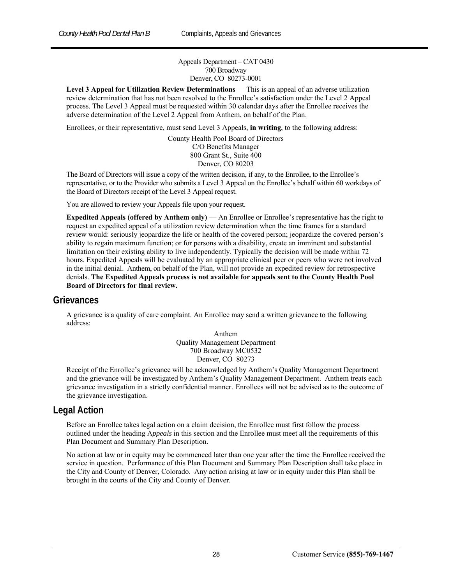Appeals Department – CAT 0430 700 Broadway Denver, CO 80273-0001

**Level 3 Appeal for Utilization Review Determinations** — This is an appeal of an adverse utilization review determination that has not been resolved to the Enrollee's satisfaction under the Level 2 Appeal process. The Level 3 Appeal must be requested within 30 calendar days after the Enrollee receives the adverse determination of the Level 2 Appeal from Anthem, on behalf of the Plan.

Enrollees, or their representative, must send Level 3 Appeals, **in writing**, to the following address:

County Health Pool Board of Directors C/O Benefits Manager 800 Grant St., Suite 400 Denver, CO 80203

The Board of Directors will issue a copy of the written decision, if any, to the Enrollee, to the Enrollee's representative, or to the Provider who submits a Level 3 Appeal on the Enrollee's behalf within 60 workdays of the Board of Directors receipt of the Level 3 Appeal request.

You are allowed to review your Appeals file upon your request.

**Expedited Appeals (offered by Anthem only)** — An Enrollee or Enrollee's representative has the right to request an expedited appeal of a utilization review determination when the time frames for a standard review would: seriously jeopardize the life or health of the covered person; jeopardize the covered person's ability to regain maximum function; or for persons with a disability, create an imminent and substantial limitation on their existing ability to live independently. Typically the decision will be made within 72 hours. Expedited Appeals will be evaluated by an appropriate clinical peer or peers who were not involved in the initial denial. Anthem, on behalf of the Plan, will not provide an expedited review for retrospective denials. **The Expedited Appeals process is not available for appeals sent to the County Health Pool Board of Directors for final review.** 

#### **Grievances**

A grievance is a quality of care complaint. An Enrollee may send a written grievance to the following address:

> Anthem Quality Management Department 700 Broadway MC0532 Denver, CO 80273

Receipt of the Enrollee's grievance will be acknowledged by Anthem's Quality Management Department and the grievance will be investigated by Anthem's Quality Management Department. Anthem treats each grievance investigation in a strictly confidential manner. Enrollees will not be advised as to the outcome of the grievance investigation.

## **Legal Action**

Before an Enrollee takes legal action on a claim decision, the Enrollee must first follow the process outlined under the heading A*ppeals* in this section and the Enrollee must meet all the requirements of this Plan Document and Summary Plan Description.

No action at law or in equity may be commenced later than one year after the time the Enrollee received the service in question. Performance of this Plan Document and Summary Plan Description shall take place in the City and County of Denver, Colorado. Any action arising at law or in equity under this Plan shall be brought in the courts of the City and County of Denver.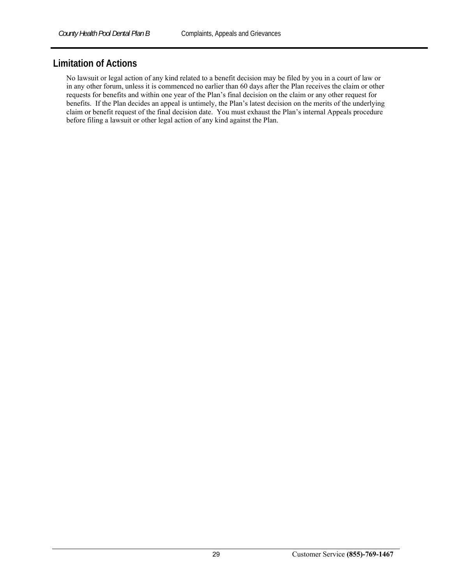# **Limitation of Actions**

No lawsuit or legal action of any kind related to a benefit decision may be filed by you in a court of law or in any other forum, unless it is commenced no earlier than 60 days after the Plan receives the claim or other requests for benefits and within one year of the Plan's final decision on the claim or any other request for benefits. If the Plan decides an appeal is untimely, the Plan's latest decision on the merits of the underlying claim or benefit request of the final decision date. You must exhaust the Plan's internal Appeals procedure before filing a lawsuit or other legal action of any kind against the Plan.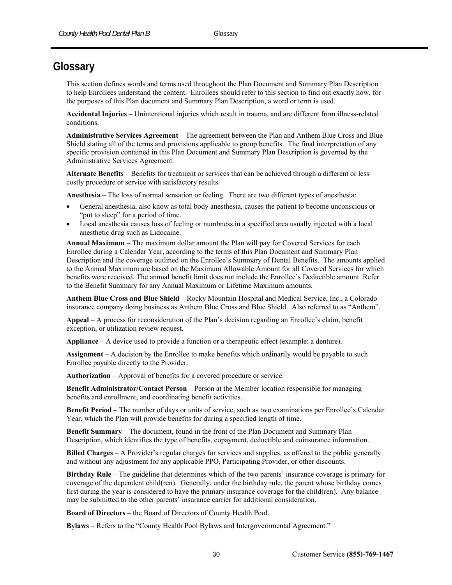# **Glossary**

This section defines words and terms used throughout the Plan Document and Summary Plan Description to help Enrollees understand the content. Enrollees should refer to this section to find out exactly how, for the purposes of this Plan document and Summary Plan Description, a word or term is used.

**Accidental Injuries** – Unintentional injuries which result in trauma, and are different from illness-related conditions.

**Administrative Services Agreement** – The agreement between the Plan and Anthem Blue Cross and Blue Shield stating all of the terms and provisions applicable to group benefits. The final interpretation of any specific provision contained in this Plan Document and Summary Plan Description is governed by the Administrative Services Agreement.

**Alternate Benefits** – Benefits for treatment or services that can be achieved through a different or less costly procedure or service with satisfactory results.

**Anesthesia** – The loss of normal sensation or feeling. There are two different types of anesthesia:

- General anesthesia, also know as total body anesthesia, causes the patient to become unconscious or "put to sleep" for a period of time.
- Local anesthesia causes loss of feeling or numbness in a specified area usually injected with a local anesthetic drug such as Lidocaine.

**Annual Maximum** – The maximum dollar amount the Plan will pay for Covered Services for each Enrollee during a Calendar Year, according to the terms of this Plan Document and Summary Plan Description and the coverage outlined on the Enrollee's Summary of Dental Benefits. The amounts applied to the Annual Maximum are based on the Maximum Allowable Amount for all Covered Services for which benefits were received. The annual benefit limit does not include the Enrollee's Deductible amount. Refer to the Benefit Summary for any Annual Maximum or Lifetime Maximum amounts.

**Anthem Blue Cross and Blue Shield** – Rocky Mountain Hospital and Medical Service, Inc., a Colorado insurance company doing business as Anthem Blue Cross and Blue Shield. Also referred to as "Anthem".

**Appeal** – A process for reconsideration of the Plan's decision regarding an Enrollee's claim, benefit exception, or utilization review request.

**Appliance** – A device used to provide a function or a therapeutic effect (example: a denture).

**Assignment** – A decision by the Enrollee to make benefits which ordinarily would be payable to such Enrollee payable directly to the Provider.

**Authorization** – Approval of benefits for a covered procedure or service.

**Benefit Administrator/Contact Person** – Person at the Member location responsible for managing benefits and enrollment, and coordinating benefit activities.

**Benefit Period** – The number of days or units of service, such as two examinations per Enrollee's Calendar Year, which the Plan will provide benefits for during a specified length of time.

**Benefit Summary** – The document, found in the front of the Plan Document and Summary Plan Description, which identifies the type of benefits, copayment, deductible and coinsurance information.

**Billed Charges** – A Provider's regular charges for services and supplies, as offered to the public generally and without any adjustment for any applicable PPO, Participating Provider, or other discounts.

**Birthday Rule** – The guideline that determines which of the two parents' insurance coverage is primary for coverage of the dependent child(ren). Generally, under the birthday rule, the parent whose birthday comes first during the year is considered to have the primary insurance coverage for the child(ren). Any balance may be submitted to the other parents' insurance carrier for additional consideration.

**Board of Directors** – the Board of Directors of County Health Pool.

**Bylaws** – Refers to the "County Health Pool Bylaws and Intergovernmental Agreement."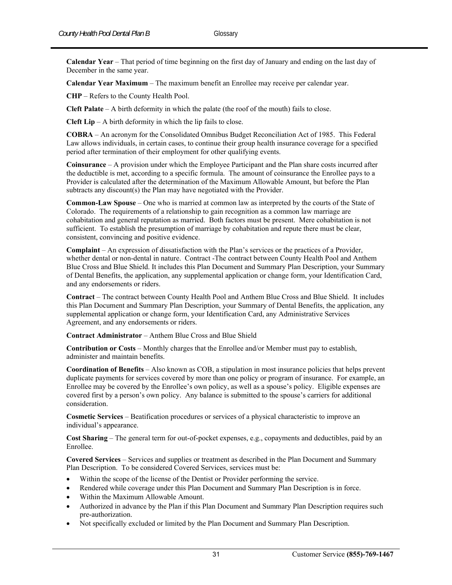**Calendar Year** – That period of time beginning on the first day of January and ending on the last day of December in the same year.

**Calendar Year Maximum** – The maximum benefit an Enrollee may receive per calendar year.

**CHP** – Refers to the County Health Pool.

**Cleft Palate** – A birth deformity in which the palate (the roof of the mouth) fails to close.

**Cleft Lip** – A birth deformity in which the lip fails to close.

**COBRA** – An acronym for the Consolidated Omnibus Budget Reconciliation Act of 1985. This Federal Law allows individuals, in certain cases, to continue their group health insurance coverage for a specified period after termination of their employment for other qualifying events.

**Coinsurance** – A provision under which the Employee Participant and the Plan share costs incurred after the deductible is met, according to a specific formula. The amount of coinsurance the Enrollee pays to a Provider is calculated after the determination of the Maximum Allowable Amount, but before the Plan subtracts any discount(s) the Plan may have negotiated with the Provider.

**Common-Law Spouse** – One who is married at common law as interpreted by the courts of the State of Colorado. The requirements of a relationship to gain recognition as a common law marriage are cohabitation and general reputation as married. Both factors must be present. Mere cohabitation is not sufficient. To establish the presumption of marriage by cohabitation and repute there must be clear, consistent, convincing and positive evidence.

**Complaint** – An expression of dissatisfaction with the Plan's services or the practices of a Provider, whether dental or non-dental in nature. Contract -The contract between County Health Pool and Anthem Blue Cross and Blue Shield. It includes this Plan Document and Summary Plan Description, your Summary of Dental Benefits, the application, any supplemental application or change form, your Identification Card, and any endorsements or riders.

**Contract** – The contract between County Health Pool and Anthem Blue Cross and Blue Shield. It includes this Plan Document and Summary Plan Description, your Summary of Dental Benefits, the application, any supplemental application or change form, your Identification Card, any Administrative Services Agreement, and any endorsements or riders.

**Contract Administrator** – Anthem Blue Cross and Blue Shield

**Contribution or Costs** – Monthly charges that the Enrollee and/or Member must pay to establish, administer and maintain benefits.

**Coordination of Benefits** – Also known as COB, a stipulation in most insurance policies that helps prevent duplicate payments for services covered by more than one policy or program of insurance. For example, an Enrollee may be covered by the Enrollee's own policy, as well as a spouse's policy. Eligible expenses are covered first by a person's own policy. Any balance is submitted to the spouse's carriers for additional consideration.

**Cosmetic Services** – Beatification procedures or services of a physical characteristic to improve an individual's appearance.

**Cost Sharing** – The general term for out-of-pocket expenses, e.g., copayments and deductibles, paid by an Enrollee.

**Covered Services** – Services and supplies or treatment as described in the Plan Document and Summary Plan Description. To be considered Covered Services, services must be:

- Within the scope of the license of the Dentist or Provider performing the service.
- Rendered while coverage under this Plan Document and Summary Plan Description is in force.
- Within the Maximum Allowable Amount.
- Authorized in advance by the Plan if this Plan Document and Summary Plan Description requires such pre-authorization.
- Not specifically excluded or limited by the Plan Document and Summary Plan Description.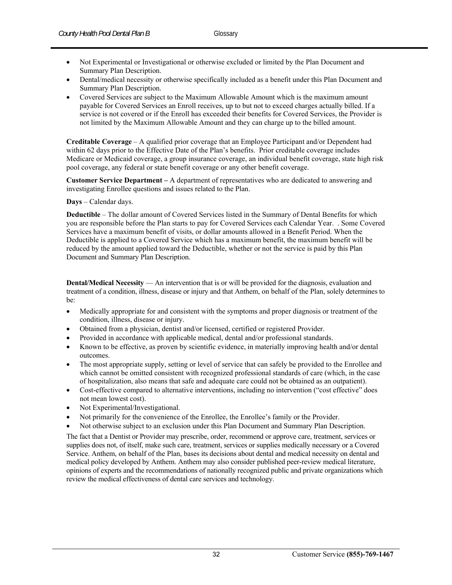- Not Experimental or Investigational or otherwise excluded or limited by the Plan Document and Summary Plan Description.
- Dental/medical necessity or otherwise specifically included as a benefit under this Plan Document and Summary Plan Description.
- Covered Services are subject to the Maximum Allowable Amount which is the maximum amount payable for Covered Services an Enroll receives, up to but not to exceed charges actually billed. If a service is not covered or if the Enroll has exceeded their benefits for Covered Services, the Provider is not limited by the Maximum Allowable Amount and they can charge up to the billed amount.

**Creditable Coverage** – A qualified prior coverage that an Employee Participant and/or Dependent had within 62 days prior to the Effective Date of the Plan's benefits. Prior creditable coverage includes Medicare or Medicaid coverage, a group insurance coverage, an individual benefit coverage, state high risk pool coverage, any federal or state benefit coverage or any other benefit coverage.

**Customer Service Department –** A department of representatives who are dedicated to answering and investigating Enrollee questions and issues related to the Plan.

#### **Days** – Calendar days.

**Deductible** – The dollar amount of Covered Services listed in the Summary of Dental Benefits for which you are responsible before the Plan starts to pay for Covered Services each Calendar Year. . Some Covered Services have a maximum benefit of visits, or dollar amounts allowed in a Benefit Period. When the Deductible is applied to a Covered Service which has a maximum benefit, the maximum benefit will be reduced by the amount applied toward the Deductible, whether or not the service is paid by this Plan Document and Summary Plan Description.

**Dental/Medical Necessity** — An intervention that is or will be provided for the diagnosis, evaluation and treatment of a condition, illness, disease or injury and that Anthem, on behalf of the Plan, solely determines to be:

- Medically appropriate for and consistent with the symptoms and proper diagnosis or treatment of the condition, illness, disease or injury.
- Obtained from a physician, dentist and/or licensed, certified or registered Provider.
- Provided in accordance with applicable medical, dental and/or professional standards.
- Known to be effective, as proven by scientific evidence, in materially improving health and/or dental outcomes.
- The most appropriate supply, setting or level of service that can safely be provided to the Enrollee and which cannot be omitted consistent with recognized professional standards of care (which, in the case of hospitalization, also means that safe and adequate care could not be obtained as an outpatient).
- Cost-effective compared to alternative interventions, including no intervention ("cost effective" does not mean lowest cost).
- Not Experimental/Investigational.
- Not primarily for the convenience of the Enrollee, the Enrollee's family or the Provider.
- Not otherwise subject to an exclusion under this Plan Document and Summary Plan Description.

The fact that a Dentist or Provider may prescribe, order, recommend or approve care, treatment, services or supplies does not, of itself, make such care, treatment, services or supplies medically necessary or a Covered Service. Anthem, on behalf of the Plan, bases its decisions about dental and medical necessity on dental and medical policy developed by Anthem. Anthem may also consider published peer-review medical literature, opinions of experts and the recommendations of nationally recognized public and private organizations which review the medical effectiveness of dental care services and technology.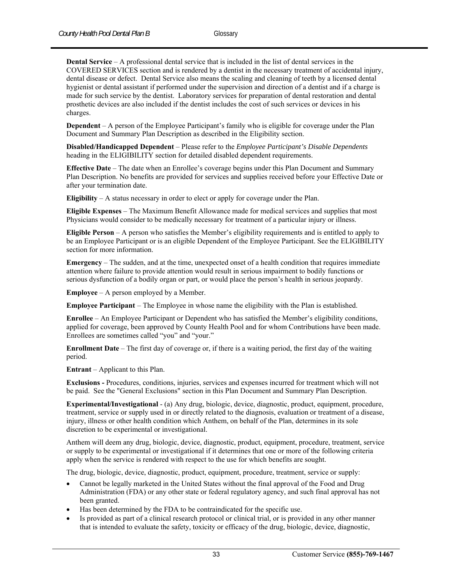**Dental Service** – A professional dental service that is included in the list of dental services in the COVERED SERVICES section and is rendered by a dentist in the necessary treatment of accidental injury, dental disease or defect. Dental Service also means the scaling and cleaning of teeth by a licensed dental hygienist or dental assistant if performed under the supervision and direction of a dentist and if a charge is made for such service by the dentist. Laboratory services for preparation of dental restoration and dental prosthetic devices are also included if the dentist includes the cost of such services or devices in his charges.

**Dependent** – A person of the Employee Participant's family who is eligible for coverage under the Plan Document and Summary Plan Description as described in the Eligibility section.

**Disabled/Handicapped Dependent** – Please refer to the *Employee Participant's Disable Dependents* heading in the ELIGIBILITY section for detailed disabled dependent requirements.

**Effective Date** – The date when an Enrollee's coverage begins under this Plan Document and Summary Plan Description. No benefits are provided for services and supplies received before your Effective Date or after your termination date.

**Eligibility** – A status necessary in order to elect or apply for coverage under the Plan.

**Eligible Expenses** – The Maximum Benefit Allowance made for medical services and supplies that most Physicians would consider to be medically necessary for treatment of a particular injury or illness.

**Eligible Person** – A person who satisfies the Member's eligibility requirements and is entitled to apply to be an Employee Participant or is an eligible Dependent of the Employee Participant. See the ELIGIBILITY section for more information.

**Emergency** – The sudden, and at the time, unexpected onset of a health condition that requires immediate attention where failure to provide attention would result in serious impairment to bodily functions or serious dysfunction of a bodily organ or part, or would place the person's health in serious jeopardy.

**Employee** – A person employed by a Member.

**Employee Participant** – The Employee in whose name the eligibility with the Plan is established.

**Enrollee** – An Employee Participant or Dependent who has satisfied the Member's eligibility conditions, applied for coverage, been approved by County Health Pool and for whom Contributions have been made. Enrollees are sometimes called "you" and "your."

**Enrollment Date** – The first day of coverage or, if there is a waiting period, the first day of the waiting period.

**Entrant** – Applicant to this Plan.

**Exclusions -** Procedures, conditions, injuries, services and expenses incurred for treatment which will not be paid. See the "General Exclusions" section in this Plan Document and Summary Plan Description.

**Experimental/Investigational** - (a) Any drug, biologic, device, diagnostic, product, equipment, procedure, treatment, service or supply used in or directly related to the diagnosis, evaluation or treatment of a disease, injury, illness or other health condition which Anthem, on behalf of the Plan, determines in its sole discretion to be experimental or investigational.

Anthem will deem any drug, biologic, device, diagnostic, product, equipment, procedure, treatment, service or supply to be experimental or investigational if it determines that one or more of the following criteria apply when the service is rendered with respect to the use for which benefits are sought.

The drug, biologic, device, diagnostic, product, equipment, procedure, treatment, service or supply:

- Cannot be legally marketed in the United States without the final approval of the Food and Drug Administration (FDA) or any other state or federal regulatory agency, and such final approval has not been granted.
- Has been determined by the FDA to be contraindicated for the specific use.
- Is provided as part of a clinical research protocol or clinical trial, or is provided in any other manner that is intended to evaluate the safety, toxicity or efficacy of the drug, biologic, device, diagnostic,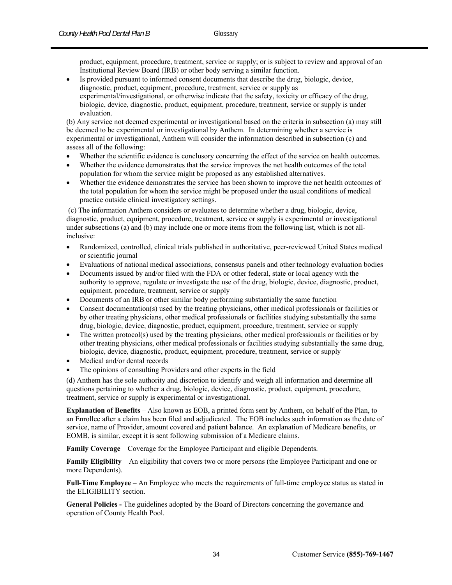product, equipment, procedure, treatment, service or supply; or is subject to review and approval of an Institutional Review Board (IRB) or other body serving a similar function.

 Is provided pursuant to informed consent documents that describe the drug, biologic, device, diagnostic, product, equipment, procedure, treatment, service or supply as experimental/investigational, or otherwise indicate that the safety, toxicity or efficacy of the drug, biologic, device, diagnostic, product, equipment, procedure, treatment, service or supply is under evaluation.

(b) Any service not deemed experimental or investigational based on the criteria in subsection (a) may still be deemed to be experimental or investigational by Anthem. In determining whether a service is experimental or investigational, Anthem will consider the information described in subsection (c) and assess all of the following:

- Whether the scientific evidence is conclusory concerning the effect of the service on health outcomes.
- Whether the evidence demonstrates that the service improves the net health outcomes of the total population for whom the service might be proposed as any established alternatives.
- Whether the evidence demonstrates the service has been shown to improve the net health outcomes of the total population for whom the service might be proposed under the usual conditions of medical practice outside clinical investigatory settings.

 (c) The information Anthem considers or evaluates to determine whether a drug, biologic, device, diagnostic, product, equipment, procedure, treatment, service or supply is experimental or investigational under subsections (a) and (b) may include one or more items from the following list, which is not allinclusive:

- Randomized, controlled, clinical trials published in authoritative, peer-reviewed United States medical or scientific journal
- Evaluations of national medical associations, consensus panels and other technology evaluation bodies
- Documents issued by and/or filed with the FDA or other federal, state or local agency with the authority to approve, regulate or investigate the use of the drug, biologic, device, diagnostic, product, equipment, procedure, treatment, service or supply
- Documents of an IRB or other similar body performing substantially the same function
- Consent documentation(s) used by the treating physicians, other medical professionals or facilities or by other treating physicians, other medical professionals or facilities studying substantially the same drug, biologic, device, diagnostic, product, equipment, procedure, treatment, service or supply
- The written protocol(s) used by the treating physicians, other medical professionals or facilities or by other treating physicians, other medical professionals or facilities studying substantially the same drug, biologic, device, diagnostic, product, equipment, procedure, treatment, service or supply
- Medical and/or dental records
- The opinions of consulting Providers and other experts in the field

(d) Anthem has the sole authority and discretion to identify and weigh all information and determine all questions pertaining to whether a drug, biologic, device, diagnostic, product, equipment, procedure, treatment, service or supply is experimental or investigational.

**Explanation of Benefits** – Also known as EOB, a printed form sent by Anthem, on behalf of the Plan, to an Enrollee after a claim has been filed and adjudicated. The EOB includes such information as the date of service, name of Provider, amount covered and patient balance. An explanation of Medicare benefits, or EOMB, is similar, except it is sent following submission of a Medicare claims.

**Family Coverage** – Coverage for the Employee Participant and eligible Dependents.

**Family Eligibility** – An eligibility that covers two or more persons (the Employee Participant and one or more Dependents).

**Full-Time Employee** – An Employee who meets the requirements of full-time employee status as stated in the ELIGIBILITY section.

**General Policies -** The guidelines adopted by the Board of Directors concerning the governance and operation of County Health Pool.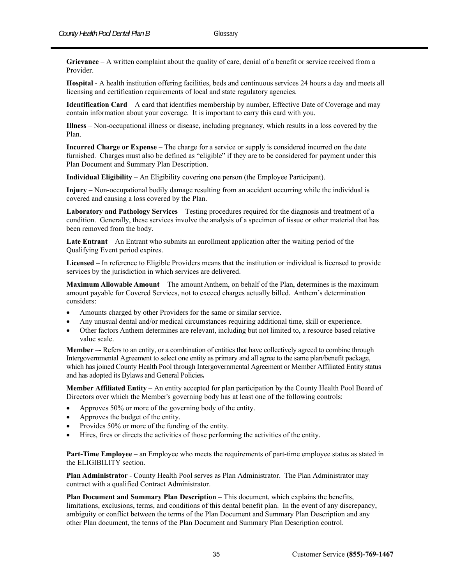**Grievance** – A written complaint about the quality of care, denial of a benefit or service received from a Provider.

**Hospital** - A health institution offering facilities, beds and continuous services 24 hours a day and meets all licensing and certification requirements of local and state regulatory agencies.

**Identification Card** – A card that identifies membership by number, Effective Date of Coverage and may contain information about your coverage. It is important to carry this card with you.

**Illness** – Non-occupational illness or disease, including pregnancy, which results in a loss covered by the Plan.

**Incurred Charge or Expense** – The charge for a service or supply is considered incurred on the date furnished. Charges must also be defined as "eligible" if they are to be considered for payment under this Plan Document and Summary Plan Description.

**Individual Eligibility** – An Eligibility covering one person (the Employee Participant).

**Injury** – Non-occupational bodily damage resulting from an accident occurring while the individual is covered and causing a loss covered by the Plan.

**Laboratory and Pathology Services** – Testing procedures required for the diagnosis and treatment of a condition. Generally, these services involve the analysis of a specimen of tissue or other material that has been removed from the body.

**Late Entrant** – An Entrant who submits an enrollment application after the waiting period of the Qualifying Event period expires.

**Licensed** – In reference to Eligible Providers means that the institution or individual is licensed to provide services by the jurisdiction in which services are delivered.

**Maximum Allowable Amount** – The amount Anthem, on behalf of the Plan, determines is the maximum amount payable for Covered Services, not to exceed charges actually billed. Anthem's determination considers:

- Amounts charged by other Providers for the same or similar service.
- Any unusual dental and/or medical circumstances requiring additional time, skill or experience.
- Other factors Anthem determines are relevant, including but not limited to, a resource based relative value scale.

**Member** –– Refers to an entity, or a combination of entities that have collectively agreed to combine through Intergovernmental Agreement to select one entity as primary and all agree to the same plan/benefit package, which has joined County Health Pool through Intergovernmental Agreement or Member Affiliated Entity status and has adopted its Bylaws and General Policies**.**

**Member Affiliated Entity** – An entity accepted for plan participation by the County Health Pool Board of Directors over which the Member's governing body has at least one of the following controls:

- Approves 50% or more of the governing body of the entity.
- Approves the budget of the entity.
- Provides 50% or more of the funding of the entity.
- Hires, fires or directs the activities of those performing the activities of the entity.

**Part-Time Employee** – an Employee who meets the requirements of part-time employee status as stated in the ELIGIBILITY section.

**Plan Administrator** - County Health Pool serves as Plan Administrator. The Plan Administrator may contract with a qualified Contract Administrator.

**Plan Document and Summary Plan Description** – This document, which explains the benefits, limitations, exclusions, terms, and conditions of this dental benefit plan. In the event of any discrepancy, ambiguity or conflict between the terms of the Plan Document and Summary Plan Description and any other Plan document, the terms of the Plan Document and Summary Plan Description control.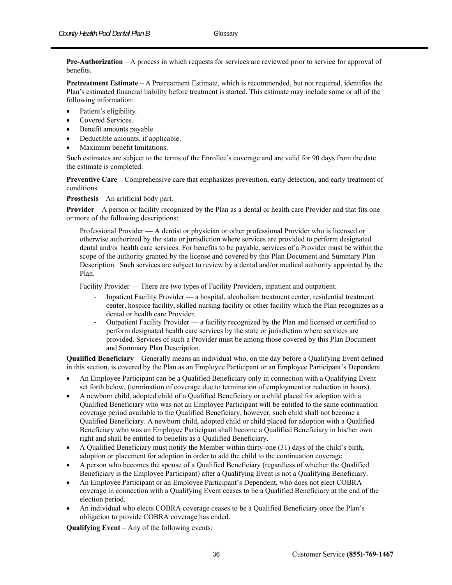**Pre-Authorization** – A process in which requests for services are reviewed prior to service for approval of benefits.

**Pretreatment Estimate** – A Pretreatment Estimate, which is recommended, but not required, identifies the Plan's estimated financial liability before treatment is started. This estimate may include some or all of the following information:

- Patient's eligibility.
- Covered Services.
- Benefit amounts payable.
- Deductible amounts, if applicable.
- Maximum benefit limitations.

Such estimates are subject to the terms of the Enrollee's coverage and are valid for 90 days from the date the estimate is completed.

**Preventive Care –** Comprehensive care that emphasizes prevention, early detection, and early treatment of conditions.

**Prosthesis** – An artificial body part.

**Provider** – A person or facility recognized by the Plan as a dental or health care Provider and that fits one or more of the following descriptions:

Professional Provider — A dentist or physician or other professional Provider who is licensed or otherwise authorized by the state or jurisdiction where services are provided to perform designated dental and/or health care services. For benefits to be payable, services of a Provider must be within the scope of the authority granted by the license and covered by this Plan Document and Summary Plan Description. Such services are subject to review by a dental and/or medical authority appointed by the Plan.

Facility Provider — There are two types of Facility Providers, inpatient and outpatient.

- Inpatient Facility Provider a hospital, alcoholism treatment center, residential treatment center, hospice facility, skilled nursing facility or other facility which the Plan recognizes as a dental or health care Provider.
- Outpatient Facility Provider a facility recognized by the Plan and licensed or certified to perform designated health care services by the state or jurisdiction where services are provided. Services of such a Provider must be among those covered by this Plan Document and Summary Plan Description.

**Qualified Beneficiary** – Generally means an individual who, on the day before a Qualifying Event defined in this section, is covered by the Plan as an Employee Participant or an Employee Participant's Dependent.

- An Employee Participant can be a Qualified Beneficiary only in connection with a Qualifying Event set forth below, (termination of coverage due to termination of employment or reduction in hours).
- A newborn child, adopted child of a Qualified Beneficiary or a child placed for adoption with a Qualified Beneficiary who was not an Employee Participant will be entitled to the same continuation coverage period available to the Qualified Beneficiary, however, such child shall not become a Qualified Beneficiary. A newborn child, adopted child or child placed for adoption with a Qualified Beneficiary who was an Employee Participant shall become a Qualified Beneficiary in his/her own right and shall be entitled to benefits as a Qualified Beneficiary.
- A Qualified Beneficiary must notify the Member within thirty-one (31) days of the child's birth, adoption or placement for adoption in order to add the child to the continuation coverage.
- A person who becomes the spouse of a Qualified Beneficiary (regardless of whether the Qualified Beneficiary is the Employee Participant) after a Qualifying Event is not a Qualifying Beneficiary.
- An Employee Participant or an Employee Participant's Dependent, who does not elect COBRA coverage in connection with a Qualifying Event ceases to be a Qualified Beneficiary at the end of the election period.
- An individual who elects COBRA coverage ceases to be a Qualified Beneficiary once the Plan's obligation to provide COBRA coverage has ended.

**Qualifying Event** – Any of the following events: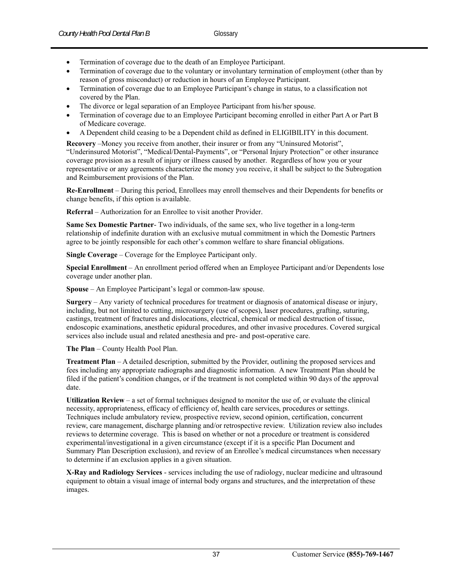- Termination of coverage due to the death of an Employee Participant.
- Termination of coverage due to the voluntary or involuntary termination of employment (other than by reason of gross misconduct) or reduction in hours of an Employee Participant.
- Termination of coverage due to an Employee Participant's change in status, to a classification not covered by the Plan.
- The divorce or legal separation of an Employee Participant from his/her spouse.
- Termination of coverage due to an Employee Participant becoming enrolled in either Part A or Part B of Medicare coverage.
- A Dependent child ceasing to be a Dependent child as defined in ELIGIBILITY in this document.

**Recovery** –Money you receive from another, their insurer or from any "Uninsured Motorist", "Underinsured Motorist", "Medical/Dental-Payments", or "Personal Injury Protection" or other insurance coverage provision as a result of injury or illness caused by another. Regardless of how you or your representative or any agreements characterize the money you receive, it shall be subject to the Subrogation and Reimbursement provisions of the Plan.

**Re-Enrollment** – During this period, Enrollees may enroll themselves and their Dependents for benefits or change benefits, if this option is available.

**Referral** – Authorization for an Enrollee to visit another Provider.

**Same Sex Domestic Partner**- Two individuals, of the same sex, who live together in a long-term relationship of indefinite duration with an exclusive mutual commitment in which the Domestic Partners agree to be jointly responsible for each other's common welfare to share financial obligations.

**Single Coverage** – Coverage for the Employee Participant only.

**Special Enrollment** – An enrollment period offered when an Employee Participant and/or Dependents lose coverage under another plan.

**Spouse** – An Employee Participant's legal or common-law spouse.

**Surgery** – Any variety of technical procedures for treatment or diagnosis of anatomical disease or injury, including, but not limited to cutting, microsurgery (use of scopes), laser procedures, grafting, suturing, castings, treatment of fractures and dislocations, electrical, chemical or medical destruction of tissue, endoscopic examinations, anesthetic epidural procedures, and other invasive procedures. Covered surgical services also include usual and related anesthesia and pre- and post-operative care.

**The Plan** – County Health Pool Plan.

**Treatment Plan** – A detailed description, submitted by the Provider, outlining the proposed services and fees including any appropriate radiographs and diagnostic information. A new Treatment Plan should be filed if the patient's condition changes, or if the treatment is not completed within 90 days of the approval date.

**Utilization Review** – a set of formal techniques designed to monitor the use of, or evaluate the clinical necessity, appropriateness, efficacy of efficiency of, health care services, procedures or settings. Techniques include ambulatory review, prospective review, second opinion, certification, concurrent review, care management, discharge planning and/or retrospective review. Utilization review also includes reviews to determine coverage. This is based on whether or not a procedure or treatment is considered experimental/investigational in a given circumstance (except if it is a specific Plan Document and Summary Plan Description exclusion), and review of an Enrollee's medical circumstances when necessary to determine if an exclusion applies in a given situation.

**X-Ray and Radiology Services** - services including the use of radiology, nuclear medicine and ultrasound equipment to obtain a visual image of internal body organs and structures, and the interpretation of these images.